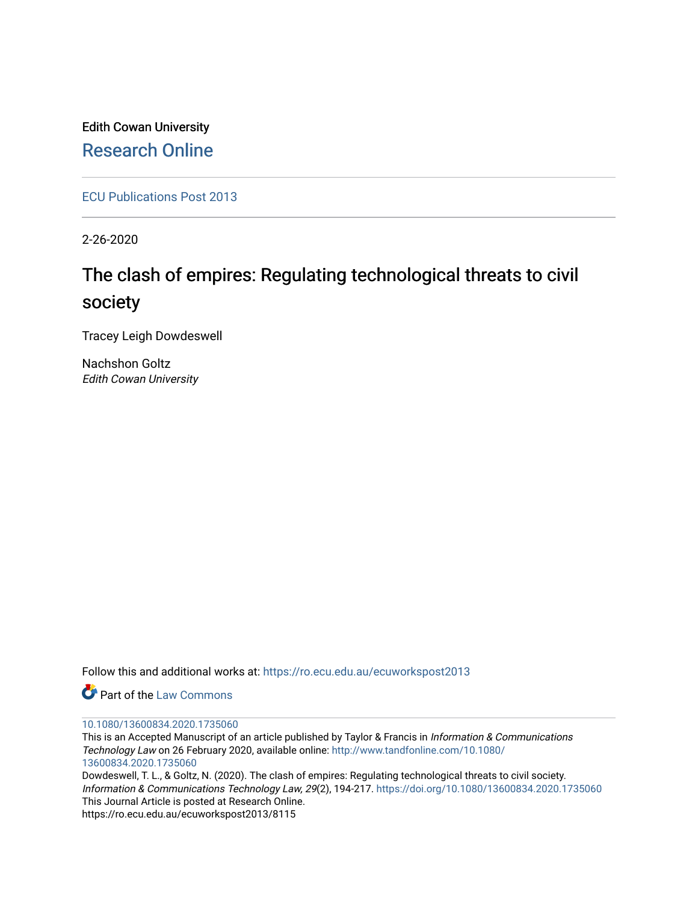Edith Cowan University [Research Online](https://ro.ecu.edu.au/) 

[ECU Publications Post 2013](https://ro.ecu.edu.au/ecuworkspost2013)

2-26-2020

# The clash of empires: Regulating technological threats to civil society

Tracey Leigh Dowdeswell

Nachshon Goltz Edith Cowan University

Follow this and additional works at: [https://ro.ecu.edu.au/ecuworkspost2013](https://ro.ecu.edu.au/ecuworkspost2013?utm_source=ro.ecu.edu.au%2Fecuworkspost2013%2F8115&utm_medium=PDF&utm_campaign=PDFCoverPages) 

Part of the [Law Commons](http://network.bepress.com/hgg/discipline/578?utm_source=ro.ecu.edu.au%2Fecuworkspost2013%2F8115&utm_medium=PDF&utm_campaign=PDFCoverPages)

#### [10.1080/13600834.2020.1735060](http://dx.doi.org/10.1080/13600834.2020.1735060)

This is an Accepted Manuscript of an article published by Taylor & Francis in Information & Communications Technology Law on 26 February 2020, available online: [http://www.tandfonline.com/10.1080/](http://www.tandfonline.com/10.1080/13600834.2020.1735060) [13600834.2020.1735060](http://www.tandfonline.com/10.1080/13600834.2020.1735060) 

Dowdeswell, T. L., & Goltz, N. (2020). The clash of empires: Regulating technological threats to civil society. Information & Communications Technology Law, 29(2), 194-217.<https://doi.org/10.1080/13600834.2020.1735060> This Journal Article is posted at Research Online.

https://ro.ecu.edu.au/ecuworkspost2013/8115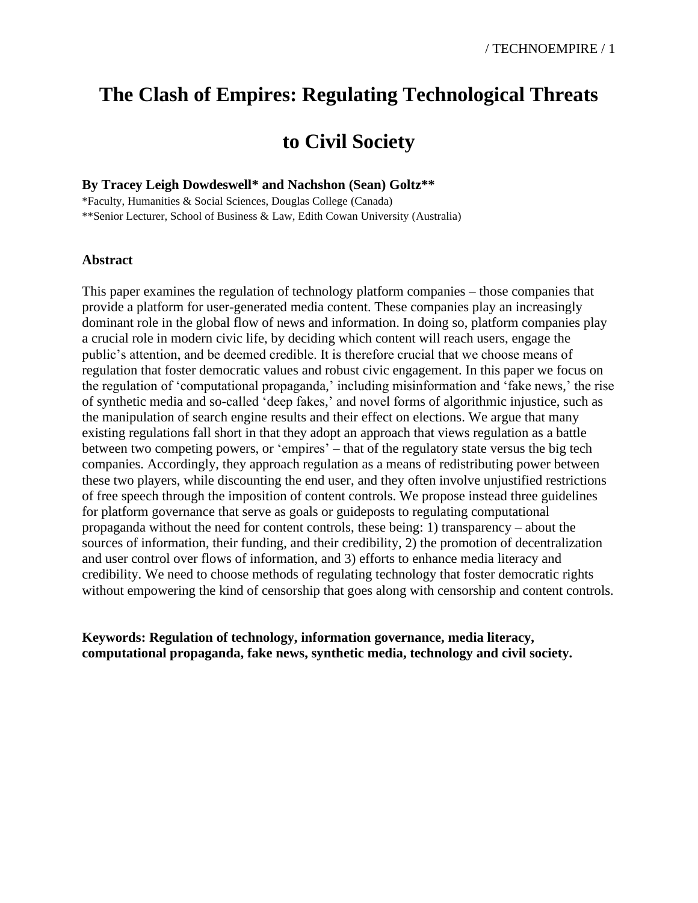## **The Clash of Empires: Regulating Technological Threats**

## **to Civil Society**

## **By Tracey Leigh Dowdeswell\* and Nachshon (Sean) Goltz\*\***

\*Faculty, Humanities & Social Sciences, Douglas College (Canada) \*\*Senior Lecturer, School of Business & Law, Edith Cowan University (Australia)

## **Abstract**

This paper examines the regulation of technology platform companies – those companies that provide a platform for user-generated media content. These companies play an increasingly dominant role in the global flow of news and information. In doing so, platform companies play a crucial role in modern civic life, by deciding which content will reach users, engage the public's attention, and be deemed credible. It is therefore crucial that we choose means of regulation that foster democratic values and robust civic engagement. In this paper we focus on the regulation of 'computational propaganda,' including misinformation and 'fake news,' the rise of synthetic media and so-called 'deep fakes,' and novel forms of algorithmic injustice, such as the manipulation of search engine results and their effect on elections. We argue that many existing regulations fall short in that they adopt an approach that views regulation as a battle between two competing powers, or 'empires' – that of the regulatory state versus the big tech companies. Accordingly, they approach regulation as a means of redistributing power between these two players, while discounting the end user, and they often involve unjustified restrictions of free speech through the imposition of content controls. We propose instead three guidelines for platform governance that serve as goals or guideposts to regulating computational propaganda without the need for content controls, these being: 1) transparency – about the sources of information, their funding, and their credibility, 2) the promotion of decentralization and user control over flows of information, and 3) efforts to enhance media literacy and credibility. We need to choose methods of regulating technology that foster democratic rights without empowering the kind of censorship that goes along with censorship and content controls.

**Keywords: Regulation of technology, information governance, media literacy, computational propaganda, fake news, synthetic media, technology and civil society.**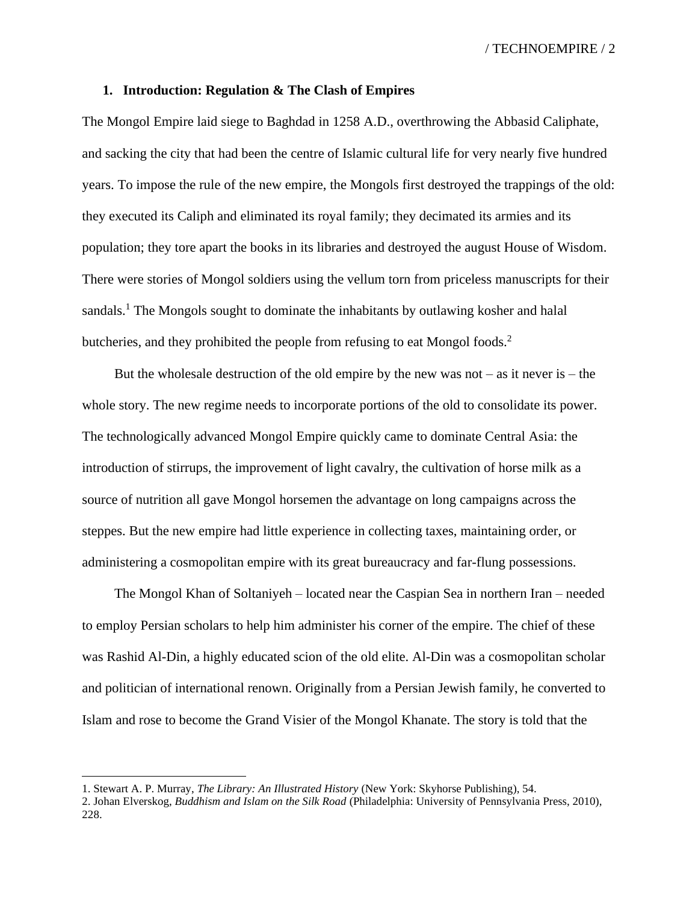#### **1. Introduction: Regulation & The Clash of Empires**

The Mongol Empire laid siege to Baghdad in 1258 A.D., overthrowing the Abbasid Caliphate, and sacking the city that had been the centre of Islamic cultural life for very nearly five hundred years. To impose the rule of the new empire, the Mongols first destroyed the trappings of the old: they executed its Caliph and eliminated its royal family; they decimated its armies and its population; they tore apart the books in its libraries and destroyed the august House of Wisdom. There were stories of Mongol soldiers using the vellum torn from priceless manuscripts for their sandals.<sup>1</sup> The Mongols sought to dominate the inhabitants by outlawing kosher and halal butcheries, and they prohibited the people from refusing to eat Mongol foods.<sup>2</sup>

But the wholesale destruction of the old empire by the new was not – as it never is – the whole story. The new regime needs to incorporate portions of the old to consolidate its power. The technologically advanced Mongol Empire quickly came to dominate Central Asia: the introduction of stirrups, the improvement of light cavalry, the cultivation of horse milk as a source of nutrition all gave Mongol horsemen the advantage on long campaigns across the steppes. But the new empire had little experience in collecting taxes, maintaining order, or administering a cosmopolitan empire with its great bureaucracy and far-flung possessions.

The Mongol Khan of Soltaniyeh – located near the Caspian Sea in northern Iran – needed to employ Persian scholars to help him administer his corner of the empire. The chief of these was Rashid Al-Din, a highly educated scion of the old elite. Al-Din was a cosmopolitan scholar and politician of international renown. Originally from a Persian Jewish family, he converted to Islam and rose to become the Grand Visier of the Mongol Khanate. The story is told that the

<sup>1.</sup> Stewart A. P. Murray, *The Library: An Illustrated History* (New York: Skyhorse Publishing), 54.

<sup>2.</sup> Johan Elverskog, *Buddhism and Islam on the Silk Road* (Philadelphia: University of Pennsylvania Press, 2010), 228.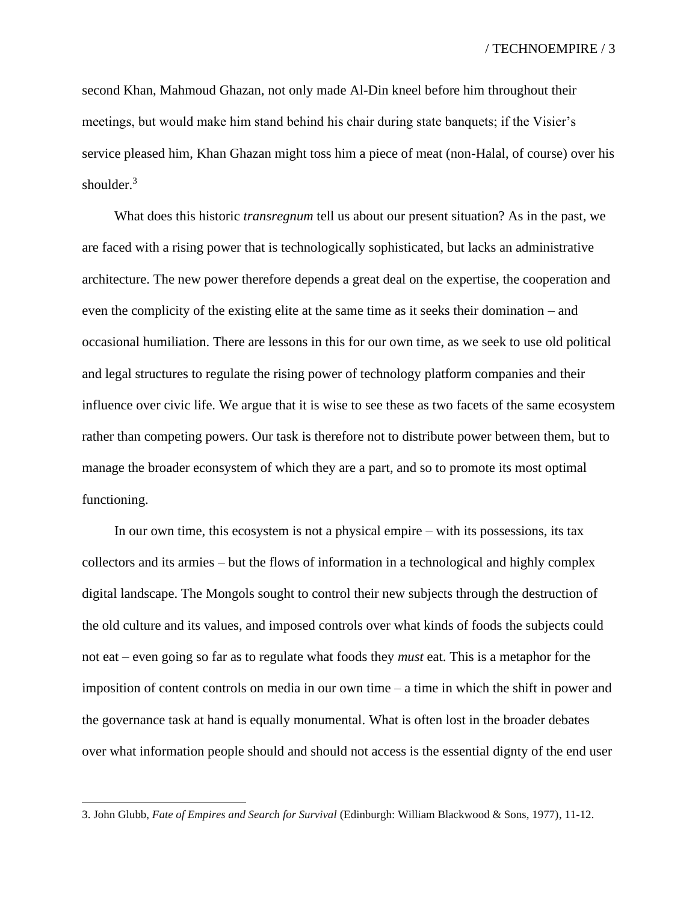second Khan, Mahmoud Ghazan, not only made Al-Din kneel before him throughout their meetings, but would make him stand behind his chair during state banquets; if the Visier's service pleased him, Khan Ghazan might toss him a piece of meat (non-Halal, of course) over his shoulder.<sup>3</sup>

What does this historic *transregnum* tell us about our present situation? As in the past, we are faced with a rising power that is technologically sophisticated, but lacks an administrative architecture. The new power therefore depends a great deal on the expertise, the cooperation and even the complicity of the existing elite at the same time as it seeks their domination – and occasional humiliation. There are lessons in this for our own time, as we seek to use old political and legal structures to regulate the rising power of technology platform companies and their influence over civic life. We argue that it is wise to see these as two facets of the same ecosystem rather than competing powers. Our task is therefore not to distribute power between them, but to manage the broader econsystem of which they are a part, and so to promote its most optimal functioning.

In our own time, this ecosystem is not a physical empire – with its possessions, its tax collectors and its armies – but the flows of information in a technological and highly complex digital landscape. The Mongols sought to control their new subjects through the destruction of the old culture and its values, and imposed controls over what kinds of foods the subjects could not eat – even going so far as to regulate what foods they *must* eat. This is a metaphor for the imposition of content controls on media in our own time – a time in which the shift in power and the governance task at hand is equally monumental. What is often lost in the broader debates over what information people should and should not access is the essential dignty of the end user

<sup>3.</sup> John Glubb, *Fate of Empires and Search for Survival* (Edinburgh: William Blackwood & Sons, 1977), 11-12.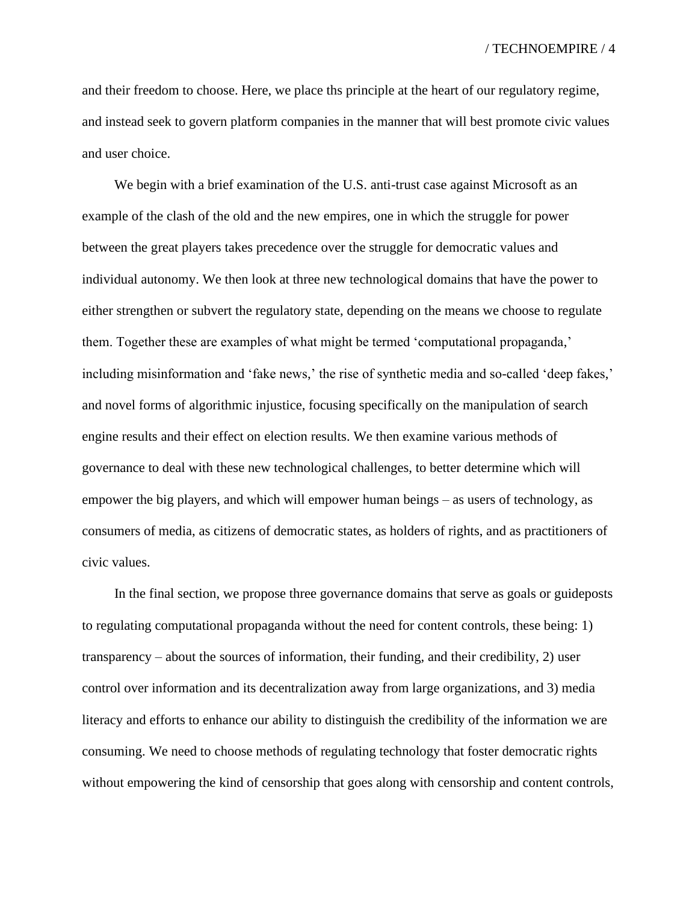and their freedom to choose. Here, we place ths principle at the heart of our regulatory regime, and instead seek to govern platform companies in the manner that will best promote civic values and user choice.

We begin with a brief examination of the U.S. anti-trust case against Microsoft as an example of the clash of the old and the new empires, one in which the struggle for power between the great players takes precedence over the struggle for democratic values and individual autonomy. We then look at three new technological domains that have the power to either strengthen or subvert the regulatory state, depending on the means we choose to regulate them. Together these are examples of what might be termed 'computational propaganda,' including misinformation and 'fake news,' the rise of synthetic media and so-called 'deep fakes,' and novel forms of algorithmic injustice, focusing specifically on the manipulation of search engine results and their effect on election results. We then examine various methods of governance to deal with these new technological challenges, to better determine which will empower the big players, and which will empower human beings – as users of technology, as consumers of media, as citizens of democratic states, as holders of rights, and as practitioners of civic values.

In the final section, we propose three governance domains that serve as goals or guideposts to regulating computational propaganda without the need for content controls, these being: 1) transparency – about the sources of information, their funding, and their credibility, 2) user control over information and its decentralization away from large organizations, and 3) media literacy and efforts to enhance our ability to distinguish the credibility of the information we are consuming. We need to choose methods of regulating technology that foster democratic rights without empowering the kind of censorship that goes along with censorship and content controls,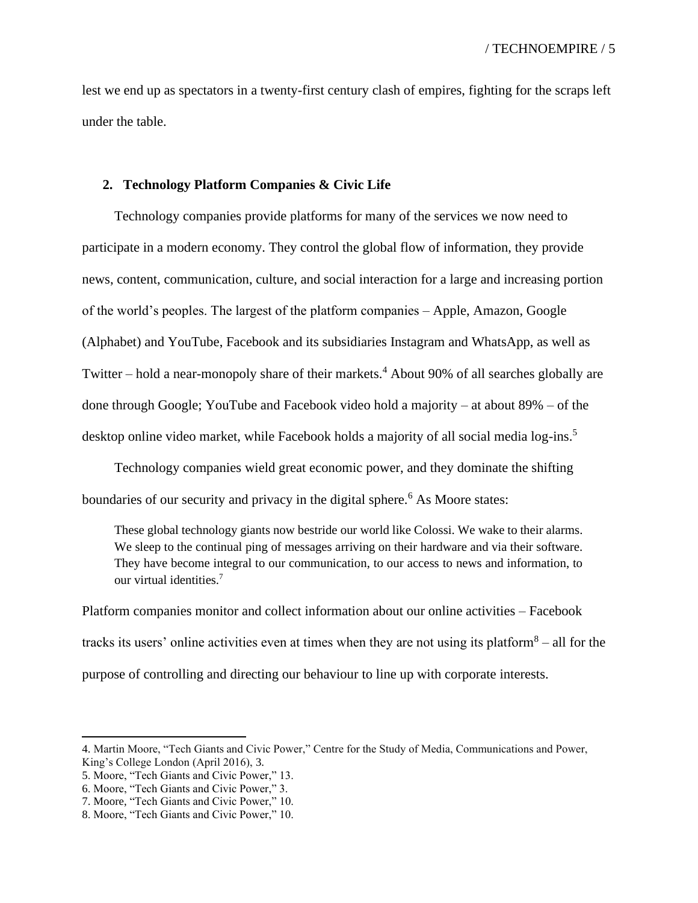lest we end up as spectators in a twenty-first century clash of empires, fighting for the scraps left under the table.

### **2. Technology Platform Companies & Civic Life**

Technology companies provide platforms for many of the services we now need to participate in a modern economy. They control the global flow of information, they provide news, content, communication, culture, and social interaction for a large and increasing portion of the world's peoples. The largest of the platform companies – Apple, Amazon, Google (Alphabet) and YouTube, Facebook and its subsidiaries Instagram and WhatsApp, as well as Twitter – hold a near-monopoly share of their markets.<sup>4</sup> About 90% of all searches globally are done through Google; YouTube and Facebook video hold a majority – at about 89% – of the desktop online video market, while Facebook holds a majority of all social media log-ins.<sup>5</sup>

Technology companies wield great economic power, and they dominate the shifting boundaries of our security and privacy in the digital sphere.<sup>6</sup> As Moore states:

These global technology giants now bestride our world like Colossi. We wake to their alarms. We sleep to the continual ping of messages arriving on their hardware and via their software. They have become integral to our communication, to our access to news and information, to our virtual identities.<sup>7</sup>

Platform companies monitor and collect information about our online activities – Facebook tracks its users' online activities even at times when they are not using its platform $8 -$ all for the purpose of controlling and directing our behaviour to line up with corporate interests.

<sup>4.</sup> Martin Moore, "Tech Giants and Civic Power," Centre for the Study of Media, Communications and Power, King's College London (April 2016), 3.

<sup>5.</sup> Moore, "Tech Giants and Civic Power," 13.

<sup>6.</sup> Moore, "Tech Giants and Civic Power," 3.

<sup>7.</sup> Moore, "Tech Giants and Civic Power," 10.

<sup>8.</sup> Moore, "Tech Giants and Civic Power," 10.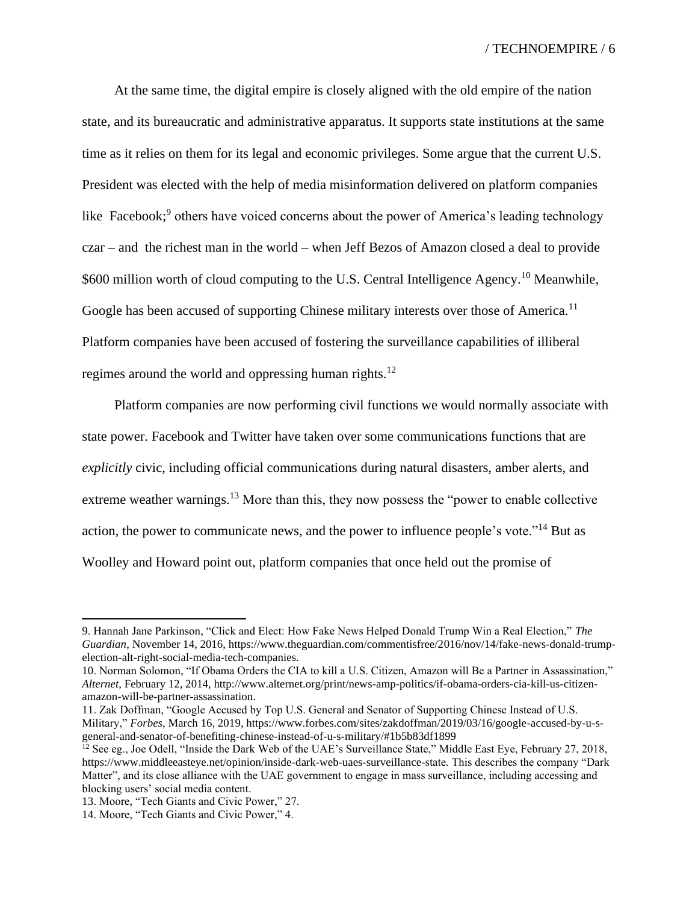At the same time, the digital empire is closely aligned with the old empire of the nation state, and its bureaucratic and administrative apparatus. It supports state institutions at the same time as it relies on them for its legal and economic privileges. Some argue that the current U.S. President was elected with the help of media misinformation delivered on platform companies like Facebook;<sup>9</sup> others have voiced concerns about the power of America's leading technology czar – and the richest man in the world – when Jeff Bezos of Amazon closed a deal to provide \$600 million worth of cloud computing to the U.S. Central Intelligence Agency.<sup>10</sup> Meanwhile, Google has been accused of supporting Chinese military interests over those of America.<sup>11</sup> Platform companies have been accused of fostering the surveillance capabilities of illiberal regimes around the world and oppressing human rights.<sup>12</sup>

Platform companies are now performing civil functions we would normally associate with state power. Facebook and Twitter have taken over some communications functions that are *explicitly* civic, including official communications during natural disasters, amber alerts, and extreme weather warnings.<sup>13</sup> More than this, they now possess the "power to enable collective" action, the power to communicate news, and the power to influence people's vote."<sup>14</sup> But as Woolley and Howard point out, platform companies that once held out the promise of

<sup>9.</sup> Hannah Jane Parkinson, "Click and Elect: How Fake News Helped Donald Trump Win a Real Election," *The Guardian*, November 14, 2016, https://www.theguardian.com/commentisfree/2016/nov/14/fake-news-donald-trumpelection-alt-right-social-media-tech-companies.

<sup>10.</sup> Norman Solomon, "If Obama Orders the CIA to kill a U.S. Citizen, Amazon will Be a Partner in Assassination," *Alternet*, February 12, 2014, http://www.alternet.org/print/news-amp-politics/if-obama-orders-cia-kill-us-citizenamazon-will-be-partner-assassination.

<sup>11.</sup> Zak Doffman, "Google Accused by Top U.S. General and Senator of Supporting Chinese Instead of U.S. Military," *Forbes*, March 16, 2019, https://www.forbes.com/sites/zakdoffman/2019/03/16/google-accused-by-u-sgeneral-and-senator-of-benefiting-chinese-instead-of-u-s-military/#1b5b83df1899

 $^{12}$  See eg., Joe Odell, "Inside the Dark Web of the UAE's Surveillance State," Middle East Eye, February 27, 2018, https://www.middleeasteye.net/opinion/inside-dark-web-uaes-surveillance-state. This describes the company "Dark Matter", and its close alliance with the UAE government to engage in mass surveillance, including accessing and blocking users' social media content.

<sup>13.</sup> Moore, "Tech Giants and Civic Power," 27.

<sup>14.</sup> Moore, "Tech Giants and Civic Power," 4.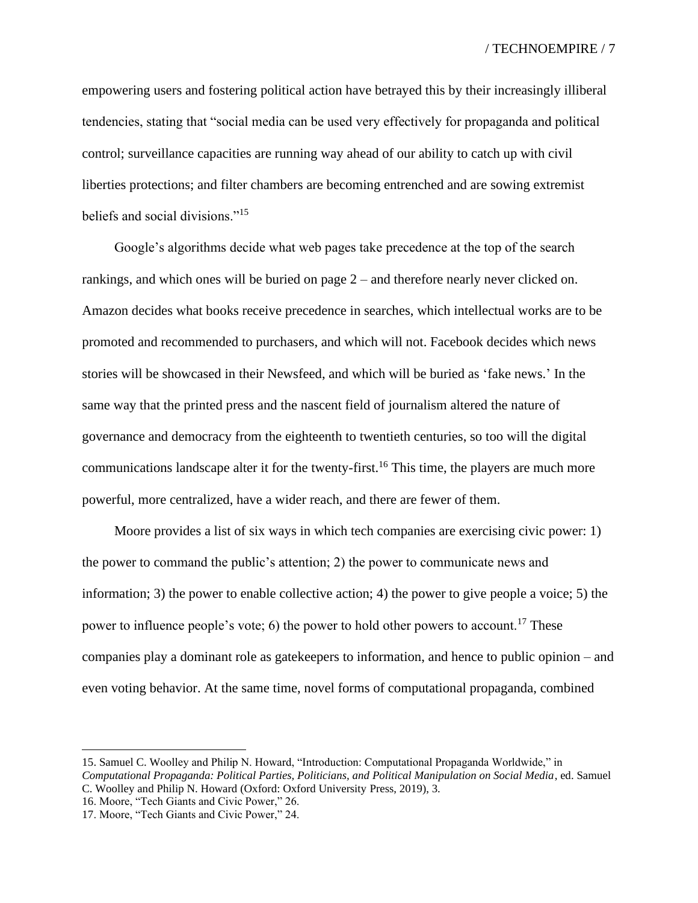empowering users and fostering political action have betrayed this by their increasingly illiberal tendencies, stating that "social media can be used very effectively for propaganda and political control; surveillance capacities are running way ahead of our ability to catch up with civil liberties protections; and filter chambers are becoming entrenched and are sowing extremist beliefs and social divisions."<sup>15</sup>

Google's algorithms decide what web pages take precedence at the top of the search rankings, and which ones will be buried on page 2 – and therefore nearly never clicked on. Amazon decides what books receive precedence in searches, which intellectual works are to be promoted and recommended to purchasers, and which will not. Facebook decides which news stories will be showcased in their Newsfeed, and which will be buried as 'fake news.' In the same way that the printed press and the nascent field of journalism altered the nature of governance and democracy from the eighteenth to twentieth centuries, so too will the digital communications landscape alter it for the twenty-first.<sup>16</sup> This time, the players are much more powerful, more centralized, have a wider reach, and there are fewer of them.

Moore provides a list of six ways in which tech companies are exercising civic power: 1) the power to command the public's attention; 2) the power to communicate news and information; 3) the power to enable collective action; 4) the power to give people a voice; 5) the power to influence people's vote; 6) the power to hold other powers to account.<sup>17</sup> These companies play a dominant role as gatekeepers to information, and hence to public opinion – and even voting behavior. At the same time, novel forms of computational propaganda, combined

16. Moore, "Tech Giants and Civic Power," 26.

<sup>15.</sup> Samuel C. Woolley and Philip N. Howard, "Introduction: Computational Propaganda Worldwide," in *Computational Propaganda: Political Parties, Politicians, and Political Manipulation on Social Media*, ed. Samuel C. Woolley and Philip N. Howard (Oxford: Oxford University Press, 2019), 3.

<sup>17.</sup> Moore, "Tech Giants and Civic Power," 24.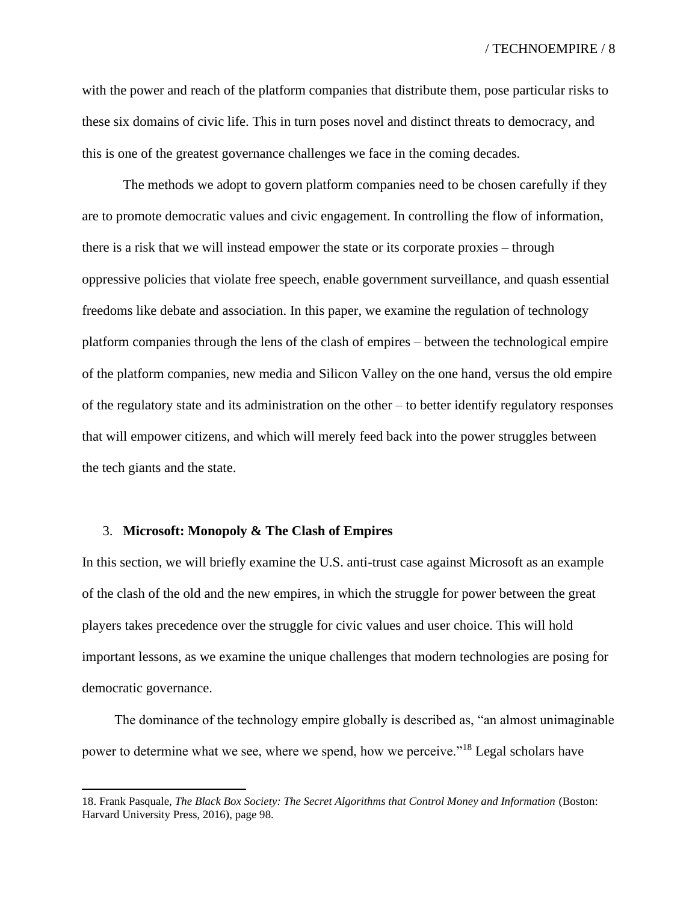with the power and reach of the platform companies that distribute them, pose particular risks to these six domains of civic life. This in turn poses novel and distinct threats to democracy, and this is one of the greatest governance challenges we face in the coming decades.

The methods we adopt to govern platform companies need to be chosen carefully if they are to promote democratic values and civic engagement. In controlling the flow of information, there is a risk that we will instead empower the state or its corporate proxies – through oppressive policies that violate free speech, enable government surveillance, and quash essential freedoms like debate and association. In this paper, we examine the regulation of technology platform companies through the lens of the clash of empires – between the technological empire of the platform companies, new media and Silicon Valley on the one hand, versus the old empire of the regulatory state and its administration on the other – to better identify regulatory responses that will empower citizens, and which will merely feed back into the power struggles between the tech giants and the state.

#### 3. **Microsoft: Monopoly & The Clash of Empires**

In this section, we will briefly examine the U.S. anti-trust case against Microsoft as an example of the clash of the old and the new empires, in which the struggle for power between the great players takes precedence over the struggle for civic values and user choice. This will hold important lessons, as we examine the unique challenges that modern technologies are posing for democratic governance.

The dominance of the technology empire globally is described as, "an almost unimaginable power to determine what we see, where we spend, how we perceive."<sup>18</sup> Legal scholars have

<sup>18.</sup> Frank Pasquale, *The Black Box Society: The Secret Algorithms that Control Money and Information* (Boston: Harvard University Press, 2016), page 98.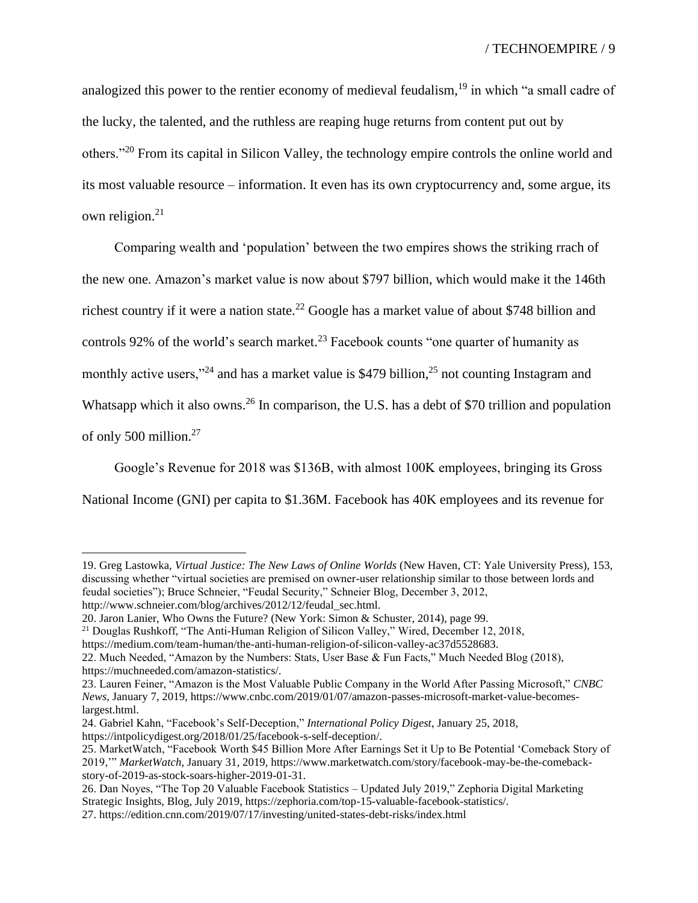analogized this power to the rentier economy of medieval feudalism,<sup>19</sup> in which "a small cadre of the lucky, the talented, and the ruthless are reaping huge returns from content put out by others."<sup>20</sup> From its capital in Silicon Valley, the technology empire controls the online world and its most valuable resource – information. It even has its own cryptocurrency and, some argue, its own religion.<sup>21</sup>

Comparing wealth and 'population' between the two empires shows the striking rrach of the new one. Amazon's market value is now about \$797 billion, which would make it the 146th richest country if it were a nation state.<sup>22</sup> Google has a market value of about \$748 billion and controls 92% of the world's search market.<sup>23</sup> Facebook counts "one quarter of humanity as monthly active users,"<sup>24</sup> and has a market value is \$479 billion,<sup>25</sup> not counting Instagram and Whatsapp which it also owns.<sup>26</sup> In comparison, the U.S. has a debt of \$70 trillion and population of only 500 million.<sup>27</sup>

Google's Revenue for 2018 was \$136B, with almost 100K employees, bringing its Gross National Income (GNI) per capita to \$1.36M. Facebook has 40K employees and its revenue for

19. Greg Lastowka, *Virtual Justice: The New Laws of Online Worlds* (New Haven, CT: Yale University Press), 153, discussing whether "virtual societies are premised on owner-user relationship similar to those between lords and feudal societies"); Bruce Schneier, "Feudal Security," Schneier Blog, December 3, 2012, http://www.schneier.com/blog/archives/2012/12/feudal\_sec.html.

<sup>20.</sup> Jaron Lanier, Who Owns the Future? (New York: Simon & Schuster, 2014), page 99.

<sup>21</sup> Douglas Rushkoff, "The Anti-Human Religion of Silicon Valley," Wired, December 12, 2018,

https://medium.com/team-human/the-anti-human-religion-of-silicon-valley-ac37d5528683.

<sup>22.</sup> Much Needed, "Amazon by the Numbers: Stats, User Base & Fun Facts," Much Needed Blog (2018), https://muchneeded.com/amazon-statistics/.

<sup>23.</sup> Lauren Feiner, "Amazon is the Most Valuable Public Company in the World After Passing Microsoft," *CNBC News*, January 7, 2019, https://www.cnbc.com/2019/01/07/amazon-passes-microsoft-market-value-becomeslargest.html.

<sup>24.</sup> Gabriel Kahn, "Facebook's Self-Deception," *International Policy Digest*, January 25, 2018, https://intpolicydigest.org/2018/01/25/facebook-s-self-deception/.

<sup>25.</sup> MarketWatch, "Facebook Worth \$45 Billion More After Earnings Set it Up to Be Potential 'Comeback Story of 2019,'" *MarketWatch*, January 31, 2019, https://www.marketwatch.com/story/facebook-may-be-the-comebackstory-of-2019-as-stock-soars-higher-2019-01-31.

<sup>26.</sup> Dan Noyes, "The Top 20 Valuable Facebook Statistics – Updated July 2019," Zephoria Digital Marketing Strategic Insights, Blog, July 2019, https://zephoria.com/top-15-valuable-facebook-statistics/.

<sup>27.</sup> https://edition.cnn.com/2019/07/17/investing/united-states-debt-risks/index.html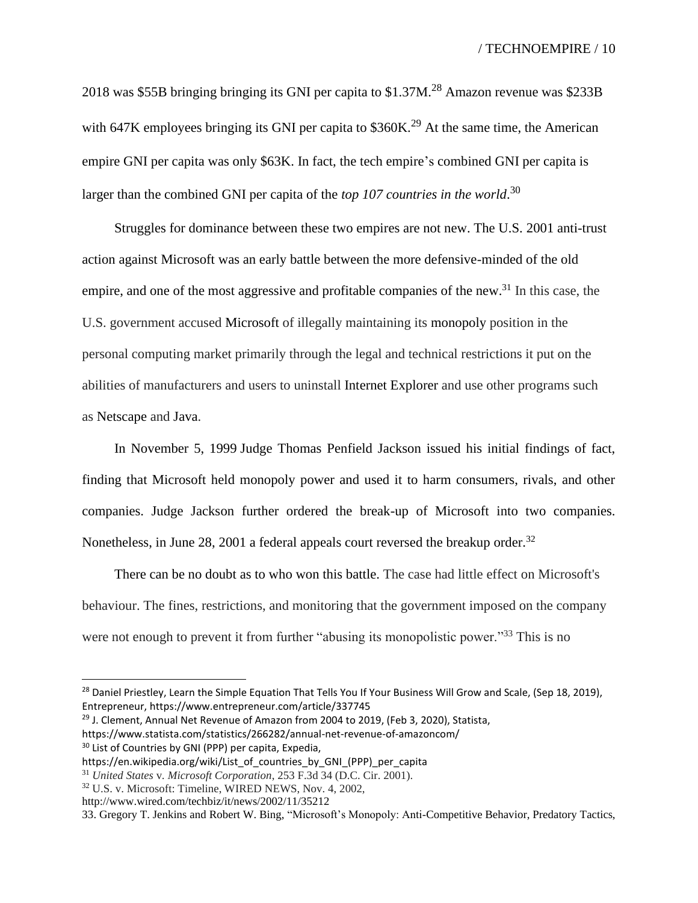2018 was \$55B bringing bringing its GNI per capita to \$1.37M.<sup>28</sup> Amazon revenue was \$233B with 647K employees bringing its GNI per capita to  $$360K.<sup>29</sup>$  At the same time, the American empire GNI per capita was only \$63K. In fact, the tech empire's combined GNI per capita is larger than the combined GNI per capita of the *top 107 countries in the world*. 30

Struggles for dominance between these two empires are not new. The U.S. 2001 anti-trust action against Microsoft was an early battle between the more defensive-minded of the old empire, and one of the most aggressive and profitable companies of the new.<sup>31</sup> In this case, the U.S. government accused Microsoft of illegally maintaining its monopoly position in the personal computing market primarily through the legal and technical restrictions it put on the abilities of manufacturers and users to uninstall Internet Explorer and use other programs such as Netscape and Java.

In November 5, 1999 Judge Thomas Penfield Jackson issued his initial findings of fact, finding that Microsoft held monopoly power and used it to harm consumers, rivals, and other companies. Judge Jackson further ordered the break-up of Microsoft into two companies. Nonetheless, in June 28, 2001 a federal appeals court reversed the breakup order.<sup>32</sup>

There can be no doubt as to who won this battle. The case had little effect on Microsoft's behaviour. The fines, restrictions, and monitoring that the government imposed on the company were not enough to prevent it from further "abusing its monopolistic power."<sup>33</sup> This is no

<sup>&</sup>lt;sup>28</sup> Daniel Priestley, Learn the Simple Equation That Tells You If Your Business Will Grow and Scale, (Sep 18, 2019), Entrepreneur, https://www.entrepreneur.com/article/337745

 $29$  J. Clement, Annual Net Revenue of Amazon from 2004 to 2019, (Feb 3, 2020), Statista,

https://www.statista.com/statistics/266282/annual-net-revenue-of-amazoncom/ <sup>30</sup> List of Countries by GNI (PPP) per capita, Expedia,

https://en.wikipedia.org/wiki/List\_of\_countries\_by\_GNI\_(PPP)\_per\_capita

<sup>31</sup> *United States* v*. Microsoft Corporation*, 253 F.3d 34 (D.C. Cir. 2001).

<sup>32</sup> U.S. v. Microsoft: Timeline, WIRED NEWS, Nov. 4, 2002,

http://www.wired.com/techbiz/it/news/2002/11/35212

<sup>33.</sup> Gregory T. Jenkins and Robert W. Bing, "Microsoft's Monopoly: Anti-Competitive Behavior, Predatory Tactics,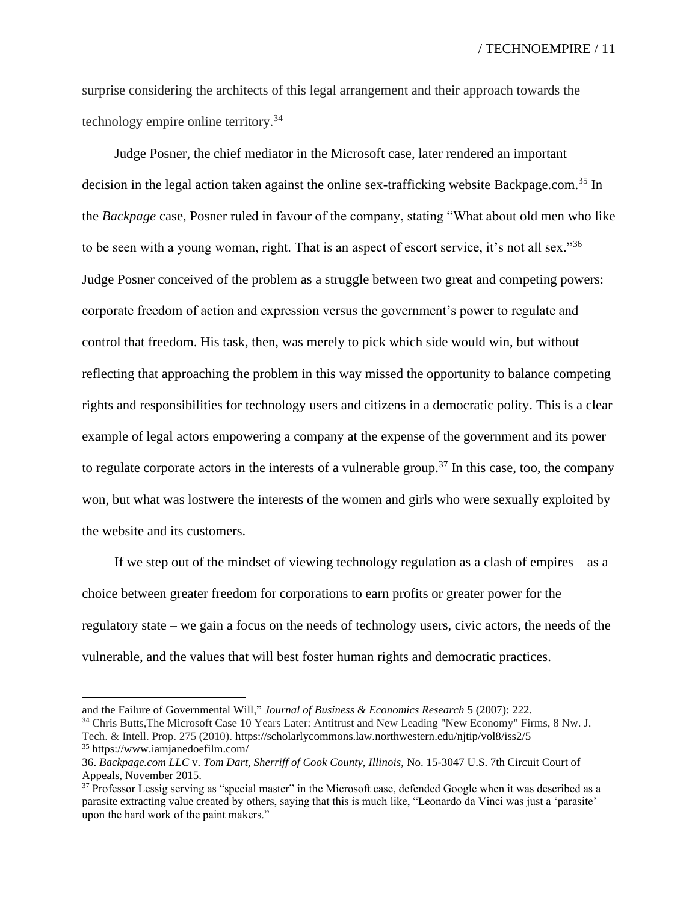surprise considering the architects of this legal arrangement and their approach towards the technology empire online territory.<sup>34</sup>

Judge Posner, the chief mediator in the Microsoft case, later rendered an important decision in the legal action taken against the online sex-trafficking website Backpage.com. <sup>35</sup> In the *Backpage* case, Posner ruled in favour of the company, stating "What about old men who like to be seen with a young woman, right. That is an aspect of escort service, it's not all sex."<sup>36</sup> Judge Posner conceived of the problem as a struggle between two great and competing powers: corporate freedom of action and expression versus the government's power to regulate and control that freedom. His task, then, was merely to pick which side would win, but without reflecting that approaching the problem in this way missed the opportunity to balance competing rights and responsibilities for technology users and citizens in a democratic polity. This is a clear example of legal actors empowering a company at the expense of the government and its power to regulate corporate actors in the interests of a vulnerable group.<sup>37</sup> In this case, too, the company won, but what was lostwere the interests of the women and girls who were sexually exploited by the website and its customers.

If we step out of the mindset of viewing technology regulation as a clash of empires – as a choice between greater freedom for corporations to earn profits or greater power for the regulatory state – we gain a focus on the needs of technology users, civic actors, the needs of the vulnerable, and the values that will best foster human rights and democratic practices.

and the Failure of Governmental Will," *Journal of Business & Economics Research* 5 (2007): 222.

<sup>34</sup> Chris Butts,The Microsoft Case 10 Years Later: Antitrust and New Leading "New Economy" Firms, 8 Nw. J. Tech. & Intell. Prop. 275 (2010). https://scholarlycommons.law.northwestern.edu/njtip/vol8/iss2/5 <sup>35</sup> https://www.iamjanedoefilm.com/

<sup>36.</sup> *Backpage.com LLC* v. *Tom Dart, Sherriff of Cook County, Illinois*, No. 15-3047 U.S. 7th Circuit Court of Appeals, November 2015.

 $37$  Professor Lessig serving as "special master" in the Microsoft case, defended Google when it was described as a parasite extracting value created by others, saying that this is much like, "Leonardo da Vinci was just a 'parasite' upon the hard work of the paint makers."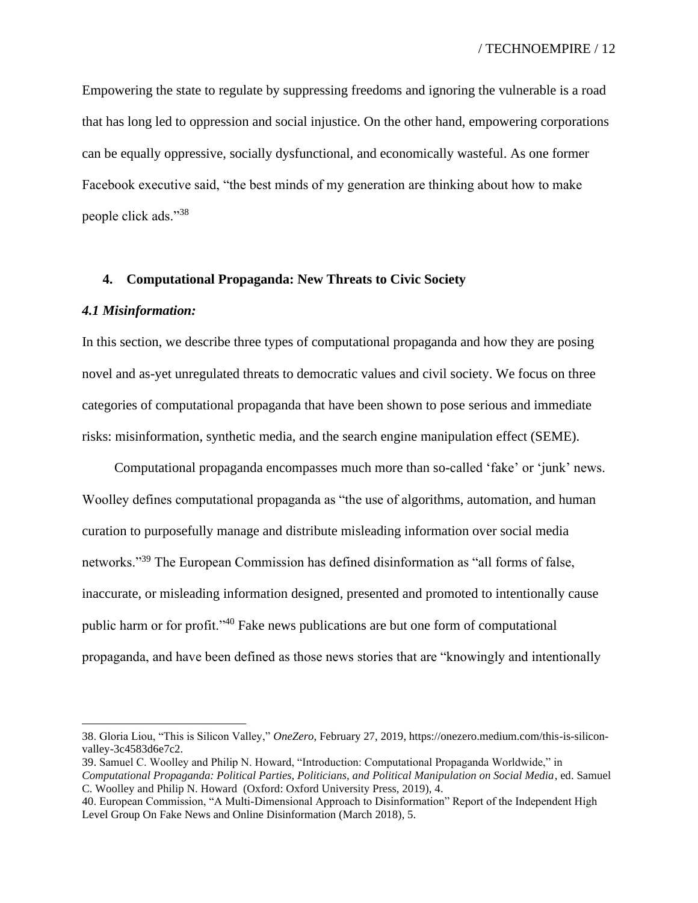Empowering the state to regulate by suppressing freedoms and ignoring the vulnerable is a road that has long led to oppression and social injustice. On the other hand, empowering corporations can be equally oppressive, socially dysfunctional, and economically wasteful. As one former Facebook executive said, "the best minds of my generation are thinking about how to make people click ads."<sup>38</sup>

#### **4. Computational Propaganda: New Threats to Civic Society**

#### *4.1 Misinformation:*

In this section, we describe three types of computational propaganda and how they are posing novel and as-yet unregulated threats to democratic values and civil society. We focus on three categories of computational propaganda that have been shown to pose serious and immediate risks: misinformation, synthetic media, and the search engine manipulation effect (SEME).

Computational propaganda encompasses much more than so-called 'fake' or 'junk' news. Woolley defines computational propaganda as "the use of algorithms, automation, and human curation to purposefully manage and distribute misleading information over social media networks."<sup>39</sup> The European Commission has defined disinformation as "all forms of false, inaccurate, or misleading information designed, presented and promoted to intentionally cause public harm or for profit."<sup>40</sup> Fake news publications are but one form of computational propaganda, and have been defined as those news stories that are "knowingly and intentionally

<sup>38.</sup> Gloria Liou, "This is Silicon Valley," *OneZero*, February 27, 2019, https://onezero.medium.com/this-is-siliconvalley-3c4583d6e7c2.

<sup>39.</sup> Samuel C. Woolley and Philip N. Howard, "Introduction: Computational Propaganda Worldwide," in *Computational Propaganda: Political Parties, Politicians, and Political Manipulation on Social Media*, ed. Samuel C. Woolley and Philip N. Howard (Oxford: Oxford University Press, 2019), 4.

<sup>40.</sup> European Commission, "A Multi-Dimensional Approach to Disinformation" Report of the Independent High Level Group On Fake News and Online Disinformation (March 2018), 5.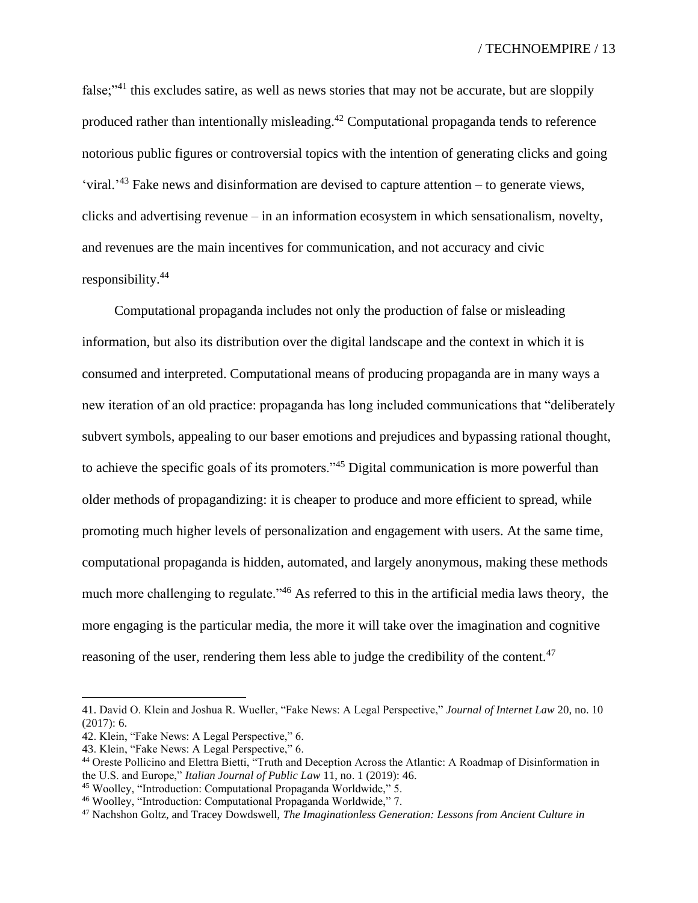false;"<sup>41</sup> this excludes satire, as well as news stories that may not be accurate, but are sloppily produced rather than intentionally misleading.<sup>42</sup> Computational propaganda tends to reference notorious public figures or controversial topics with the intention of generating clicks and going 'viral.<sup>'43</sup> Fake news and disinformation are devised to capture attention – to generate views, clicks and advertising revenue – in an information ecosystem in which sensationalism, novelty, and revenues are the main incentives for communication, and not accuracy and civic responsibility.<sup>44</sup>

Computational propaganda includes not only the production of false or misleading information, but also its distribution over the digital landscape and the context in which it is consumed and interpreted. Computational means of producing propaganda are in many ways a new iteration of an old practice: propaganda has long included communications that "deliberately subvert symbols, appealing to our baser emotions and prejudices and bypassing rational thought, to achieve the specific goals of its promoters."<sup>45</sup> Digital communication is more powerful than older methods of propagandizing: it is cheaper to produce and more efficient to spread, while promoting much higher levels of personalization and engagement with users. At the same time, computational propaganda is hidden, automated, and largely anonymous, making these methods much more challenging to regulate."<sup>46</sup> As referred to this in the artificial media laws theory, the more engaging is the particular media, the more it will take over the imagination and cognitive reasoning of the user, rendering them less able to judge the credibility of the content.<sup>47</sup>

<sup>41.</sup> David O. Klein and Joshua R. Wueller, "Fake News: A Legal Perspective," *Journal of Internet Law* 20, no. 10 (2017): 6.

<sup>42.</sup> Klein, "Fake News: A Legal Perspective," 6.

<sup>43.</sup> Klein, "Fake News: A Legal Perspective," 6.

<sup>44</sup> Oreste Pollicino and Elettra Bietti, "Truth and Deception Across the Atlantic: A Roadmap of Disinformation in the U.S. and Europe," *Italian Journal of Public Law* 11, no. 1 (2019): 46.

<sup>45</sup> Woolley, "Introduction: Computational Propaganda Worldwide," 5.

<sup>46</sup> Woolley, "Introduction: Computational Propaganda Worldwide," 7.

<sup>47</sup> Nachshon Goltz, and Tracey Dowdswell, *The Imaginationless Generation: Lessons from Ancient Culture in*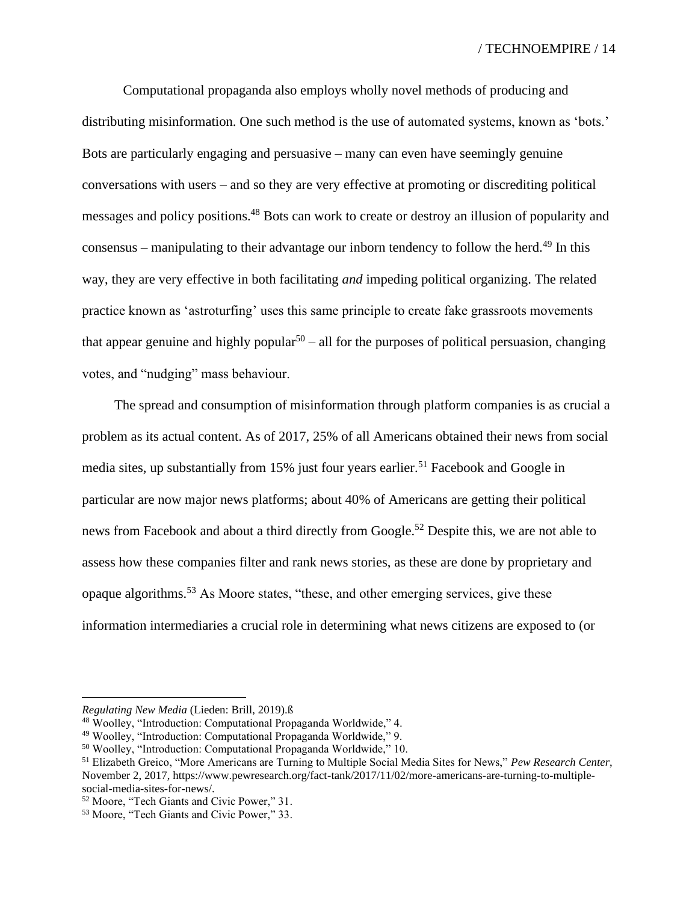Computational propaganda also employs wholly novel methods of producing and distributing misinformation. One such method is the use of automated systems, known as 'bots.' Bots are particularly engaging and persuasive – many can even have seemingly genuine conversations with users – and so they are very effective at promoting or discrediting political messages and policy positions.<sup>48</sup> Bots can work to create or destroy an illusion of popularity and consensus – manipulating to their advantage our inborn tendency to follow the herd.<sup>49</sup> In this way, they are very effective in both facilitating *and* impeding political organizing. The related practice known as 'astroturfing' uses this same principle to create fake grassroots movements that appear genuine and highly popular<sup>50</sup> – all for the purposes of political persuasion, changing votes, and "nudging" mass behaviour.

The spread and consumption of misinformation through platform companies is as crucial a problem as its actual content. As of 2017, 25% of all Americans obtained their news from social media sites, up substantially from 15% just four years earlier.<sup>51</sup> Facebook and Google in particular are now major news platforms; about 40% of Americans are getting their political news from Facebook and about a third directly from Google.<sup>52</sup> Despite this, we are not able to assess how these companies filter and rank news stories, as these are done by proprietary and opaque algorithms.<sup>53</sup> As Moore states, "these, and other emerging services, give these information intermediaries a crucial role in determining what news citizens are exposed to (or

*Regulating New Media* (Lieden: Brill, 2019).ß

<sup>48</sup> Woolley, "Introduction: Computational Propaganda Worldwide," 4.

<sup>49</sup> Woolley, "Introduction: Computational Propaganda Worldwide," 9.

<sup>50</sup> Woolley, "Introduction: Computational Propaganda Worldwide," 10.

<sup>51</sup> Elizabeth Greico, "More Americans are Turning to Multiple Social Media Sites for News," *Pew Research Center*, November 2, 2017, https://www.pewresearch.org/fact-tank/2017/11/02/more-americans-are-turning-to-multiplesocial-media-sites-for-news/.

<sup>52</sup> Moore, "Tech Giants and Civic Power," 31.

<sup>53</sup> Moore, "Tech Giants and Civic Power," 33.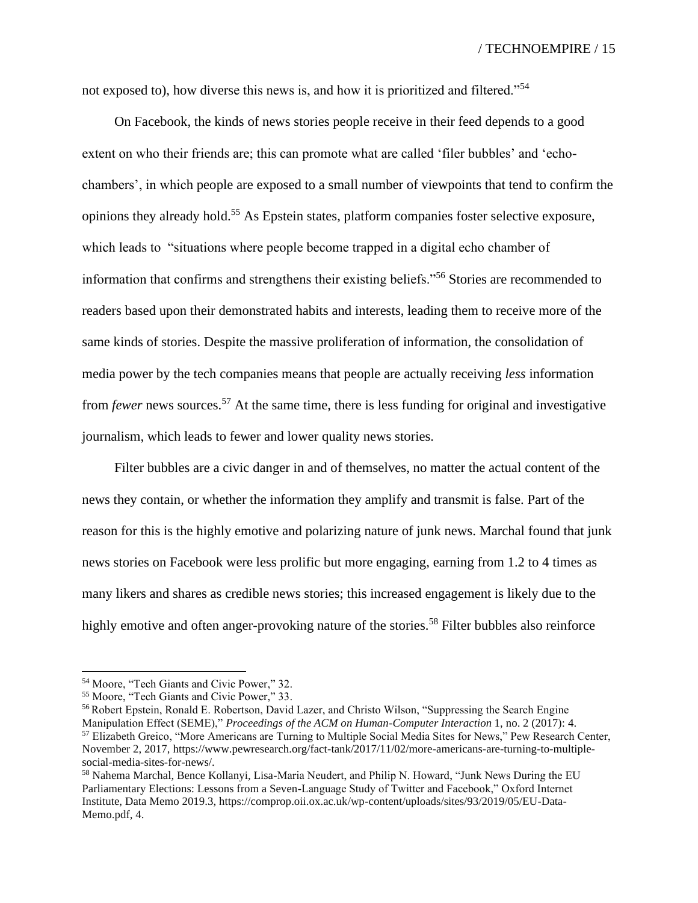not exposed to), how diverse this news is, and how it is prioritized and filtered."<sup>54</sup>

On Facebook, the kinds of news stories people receive in their feed depends to a good extent on who their friends are; this can promote what are called 'filer bubbles' and 'echochambers', in which people are exposed to a small number of viewpoints that tend to confirm the opinions they already hold.<sup>55</sup> As Epstein states, platform companies foster selective exposure, which leads to "situations where people become trapped in a digital echo chamber of information that confirms and strengthens their existing beliefs."<sup>56</sup> Stories are recommended to readers based upon their demonstrated habits and interests, leading them to receive more of the same kinds of stories. Despite the massive proliferation of information, the consolidation of media power by the tech companies means that people are actually receiving *less* information from *fewer* news sources.<sup>57</sup> At the same time, there is less funding for original and investigative journalism, which leads to fewer and lower quality news stories.

Filter bubbles are a civic danger in and of themselves, no matter the actual content of the news they contain, or whether the information they amplify and transmit is false. Part of the reason for this is the highly emotive and polarizing nature of junk news. Marchal found that junk news stories on Facebook were less prolific but more engaging, earning from 1.2 to 4 times as many likers and shares as credible news stories; this increased engagement is likely due to the highly emotive and often anger-provoking nature of the stories.<sup>58</sup> Filter bubbles also reinforce

<sup>54</sup> Moore, "Tech Giants and Civic Power," 32.

<sup>55</sup> Moore, "Tech Giants and Civic Power," 33.

<sup>56</sup> Robert Epstein, Ronald E. Robertson, David Lazer, and Christo Wilson, "Suppressing the Search Engine Manipulation Effect (SEME)," *Proceedings of the ACM on Human-Computer Interaction* 1, no. 2 (2017): 4. <sup>57</sup> Elizabeth Greico, "More Americans are Turning to Multiple Social Media Sites for News," Pew Research Center, November 2, 2017, https://www.pewresearch.org/fact-tank/2017/11/02/more-americans-are-turning-to-multiplesocial-media-sites-for-news/.

<sup>58</sup> Nahema Marchal, Bence Kollanyi, Lisa-Maria Neudert, and Philip N. Howard, "Junk News During the EU Parliamentary Elections: Lessons from a Seven-Language Study of Twitter and Facebook," Oxford Internet Institute, Data Memo 2019.3, [https://comprop.oii.ox.ac.uk/wp-content/uploads/sites/93/2019/05/EU-Data-](https://comprop.oii.ox.ac.uk/wp-content/uploads/sites/93/2019/05/EU-Data-Memo.pdf)[Memo.pdf,](https://comprop.oii.ox.ac.uk/wp-content/uploads/sites/93/2019/05/EU-Data-Memo.pdf) 4.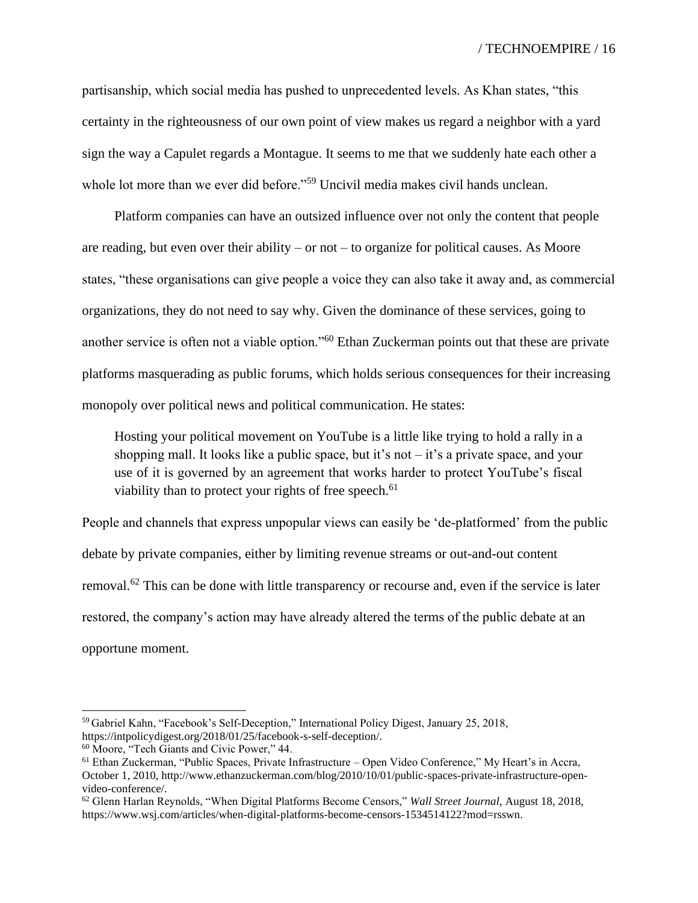partisanship, which social media has pushed to unprecedented levels. As Khan states, "this certainty in the righteousness of our own point of view makes us regard a neighbor with a yard sign the way a Capulet regards a Montague. It seems to me that we suddenly hate each other a whole lot more than we ever did before."<sup>59</sup> Uncivil media makes civil hands unclean.

Platform companies can have an outsized influence over not only the content that people are reading, but even over their ability – or not – to organize for political causes. As Moore states, "these organisations can give people a voice they can also take it away and, as commercial organizations, they do not need to say why. Given the dominance of these services, going to another service is often not a viable option."<sup>60</sup> Ethan Zuckerman points out that these are private platforms masquerading as public forums, which holds serious consequences for their increasing monopoly over political news and political communication. He states:

Hosting your political movement on YouTube is a little like trying to hold a rally in a shopping mall. It looks like a public space, but it's not – it's a private space, and your use of it is governed by an agreement that works harder to protect YouTube's fiscal viability than to protect your rights of free speech.<sup>61</sup>

People and channels that express unpopular views can easily be 'de-platformed' from the public debate by private companies, either by limiting revenue streams or out-and-out content removal.<sup>62</sup> This can be done with little transparency or recourse and, even if the service is later restored, the company's action may have already altered the terms of the public debate at an opportune moment.

<sup>59</sup> Gabriel Kahn, "Facebook's Self-Deception," International Policy Digest, January 25, 2018, https://intpolicydigest.org/2018/01/25/facebook-s-self-deception/.

<sup>60</sup> Moore, "Tech Giants and Civic Power," 44.

<sup>61</sup> Ethan Zuckerman, "Public Spaces, Private Infrastructure – Open Video Conference," My Heart's in Accra, October 1, 2010, http://www.ethanzuckerman.com/blog/2010/10/01/public-spaces-private-infrastructure-openvideo-conference/.

<sup>62</sup> Glenn Harlan Reynolds, "When Digital Platforms Become Censors," *Wall Street Journal*, August 18, 2018, https://www.wsj.com/articles/when-digital-platforms-become-censors-1534514122?mod=rsswn.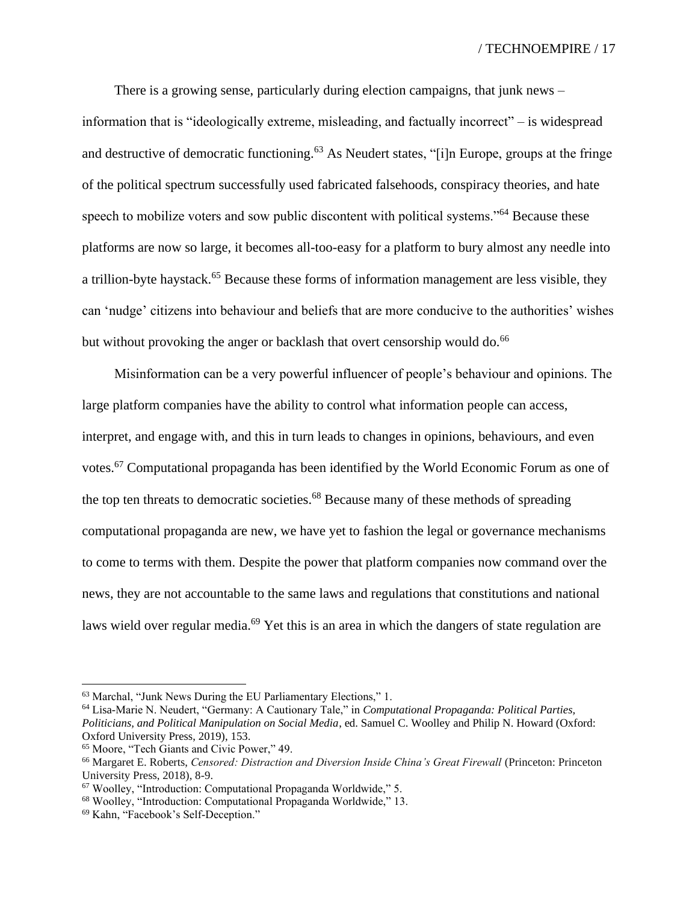There is a growing sense, particularly during election campaigns, that junk news – information that is "ideologically extreme, misleading, and factually incorrect" – is widespread and destructive of democratic functioning.<sup>63</sup> As Neudert states, "[i]n Europe, groups at the fringe of the political spectrum successfully used fabricated falsehoods, conspiracy theories, and hate speech to mobilize voters and sow public discontent with political systems."<sup>64</sup> Because these platforms are now so large, it becomes all-too-easy for a platform to bury almost any needle into a trillion-byte haystack.<sup>65</sup> Because these forms of information management are less visible, they can 'nudge' citizens into behaviour and beliefs that are more conducive to the authorities' wishes but without provoking the anger or backlash that overt censorship would do.<sup>66</sup>

Misinformation can be a very powerful influencer of people's behaviour and opinions. The large platform companies have the ability to control what information people can access, interpret, and engage with, and this in turn leads to changes in opinions, behaviours, and even votes.<sup>67</sup> Computational propaganda has been identified by the World Economic Forum as one of the top ten threats to democratic societies.<sup>68</sup> Because many of these methods of spreading computational propaganda are new, we have yet to fashion the legal or governance mechanisms to come to terms with them. Despite the power that platform companies now command over the news, they are not accountable to the same laws and regulations that constitutions and national laws wield over regular media.<sup>69</sup> Yet this is an area in which the dangers of state regulation are

<sup>63</sup> Marchal, "Junk News During the EU Parliamentary Elections," 1.

<sup>64</sup> Lisa-Marie N. Neudert, "Germany: A Cautionary Tale," in *Computational Propaganda: Political Parties, Politicians, and Political Manipulation on Social Media*, ed. Samuel C. Woolley and Philip N. Howard (Oxford: Oxford University Press, 2019), 153.

<sup>65</sup> Moore, "Tech Giants and Civic Power," 49.

<sup>&</sup>lt;sup>66</sup> Margaret E. Roberts, *Censored: Distraction and Diversion Inside China's Great Firewall* (Princeton: Princeton University Press, 2018), 8-9.

<sup>67</sup> Woolley, "Introduction: Computational Propaganda Worldwide," 5.

<sup>68</sup> Woolley, "Introduction: Computational Propaganda Worldwide," 13.

<sup>69</sup> Kahn, "Facebook's Self-Deception."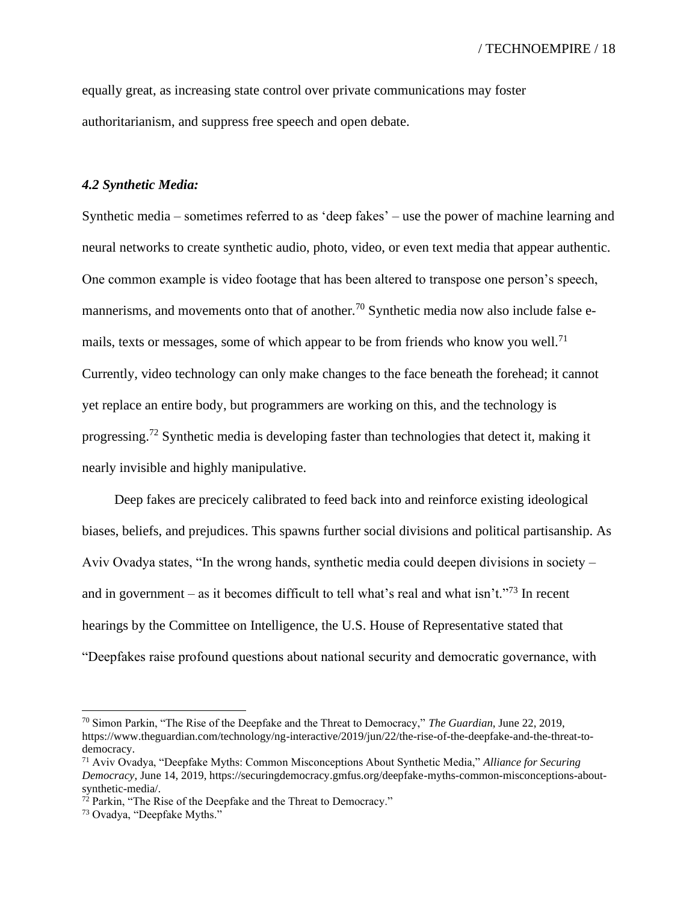equally great, as increasing state control over private communications may foster authoritarianism, and suppress free speech and open debate.

#### *4.2 Synthetic Media:*

Synthetic media – sometimes referred to as 'deep fakes' – use the power of machine learning and neural networks to create synthetic audio, photo, video, or even text media that appear authentic. One common example is video footage that has been altered to transpose one person's speech, mannerisms, and movements onto that of another.<sup>70</sup> Synthetic media now also include false emails, texts or messages, some of which appear to be from friends who know you well.<sup>71</sup> Currently, video technology can only make changes to the face beneath the forehead; it cannot yet replace an entire body, but programmers are working on this, and the technology is progressing.<sup>72</sup> Synthetic media is developing faster than technologies that detect it, making it nearly invisible and highly manipulative.

Deep fakes are precicely calibrated to feed back into and reinforce existing ideological biases, beliefs, and prejudices. This spawns further social divisions and political partisanship. As Aviv Ovadya states, "In the wrong hands, synthetic media could deepen divisions in society – and in government – as it becomes difficult to tell what's real and what isn't."<sup>73</sup> In recent hearings by the Committee on Intelligence, the U.S. House of Representative stated that "Deepfakes raise profound questions about national security and democratic governance, with

<sup>70</sup> Simon Parkin, "The Rise of the Deepfake and the Threat to Democracy," *The Guardian*, June 22, 2019, https://www.theguardian.com/technology/ng-interactive/2019/jun/22/the-rise-of-the-deepfake-and-the-threat-todemocracy.

<sup>71</sup> Aviv Ovadya, "Deepfake Myths: Common Misconceptions About Synthetic Media," *Alliance for Securing Democracy*, June 14, 2019, https://securingdemocracy.gmfus.org/deepfake-myths-common-misconceptions-aboutsynthetic-media/.

 $72$  Parkin, "The Rise of the Deepfake and the Threat to Democracy."

<sup>73</sup> Ovadya, "Deepfake Myths."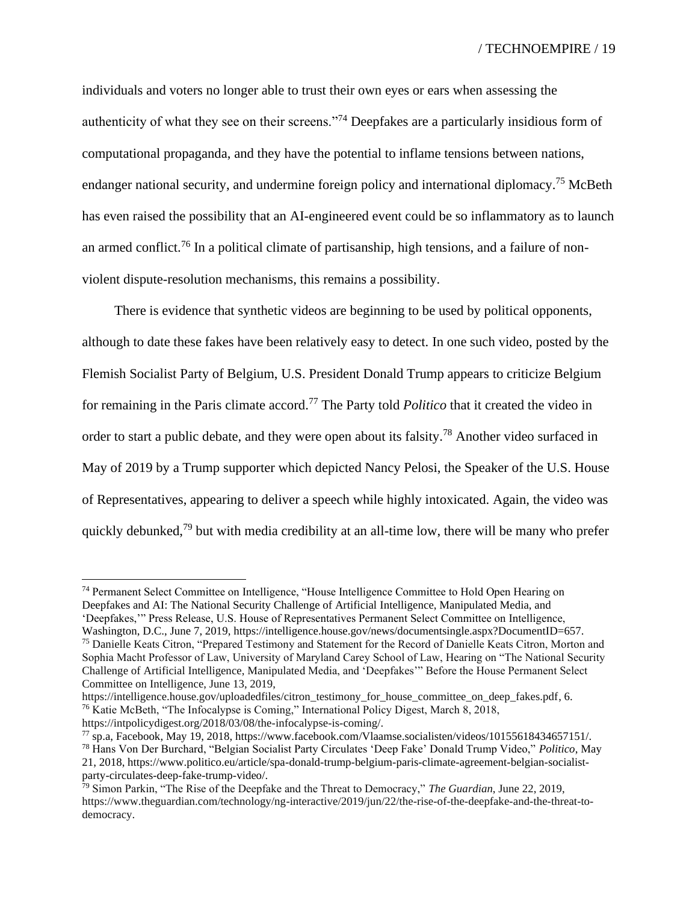individuals and voters no longer able to trust their own eyes or ears when assessing the authenticity of what they see on their screens."<sup>74</sup> Deepfakes are a particularly insidious form of computational propaganda, and they have the potential to inflame tensions between nations, endanger national security, and undermine foreign policy and international diplomacy.<sup>75</sup> McBeth has even raised the possibility that an AI-engineered event could be so inflammatory as to launch an armed conflict.<sup>76</sup> In a political climate of partisanship, high tensions, and a failure of nonviolent dispute-resolution mechanisms, this remains a possibility.

There is evidence that synthetic videos are beginning to be used by political opponents, although to date these fakes have been relatively easy to detect. In one such video, posted by the Flemish Socialist Party of Belgium, U.S. President Donald Trump appears to criticize Belgium for remaining in the Paris climate accord.<sup>77</sup> The Party told *Politico* that it created the video in order to start a public debate, and they were open about its falsity.<sup>78</sup> Another video surfaced in May of 2019 by a Trump supporter which depicted Nancy Pelosi, the Speaker of the U.S. House of Representatives, appearing to deliver a speech while highly intoxicated. Again, the video was quickly debunked,<sup>79</sup> but with media credibility at an all-time low, there will be many who prefer

<sup>74</sup> Permanent Select Committee on Intelligence, "House Intelligence Committee to Hold Open Hearing on Deepfakes and AI: The National Security Challenge of Artificial Intelligence, Manipulated Media, and

<sup>&#</sup>x27;Deepfakes,'" Press Release, U.S. House of Representatives Permanent Select Committee on Intelligence,

Washington, D.C., June 7, 2019, https://intelligence.house.gov/news/documentsingle.aspx?DocumentID=657. <sup>75</sup> Danielle Keats Citron, "Prepared Testimony and Statement for the Record of Danielle Keats Citron, Morton and Sophia Macht Professor of Law, University of Maryland Carey School of Law, Hearing on "The National Security Challenge of Artificial Intelligence, Manipulated Media, and 'Deepfakes'" Before the House Permanent Select Committee on Intelligence, June 13, 2019,

[https://intelligence.house.gov/uploadedfiles/citron\\_testimony\\_for\\_house\\_committee\\_on\\_deep\\_fakes.pdf,](https://intelligence.house.gov/uploadedfiles/citron_testimony_for_house_committee_on_deep_fakes.pdf) 6. <sup>76</sup> Katie McBeth, "The Infocalypse is Coming," International Policy Digest, March 8, 2018, [https://intpolicydigest.org/2018/03/08/the-infocalypse-is-coming/.](https://intpolicydigest.org/2018/03/08/the-infocalypse-is-coming/)

 $^{77}$  sp.a, Facebook, May 19, 2018, https://www.facebook.com/Vlaamse.socialisten/videos/10155618434657151/.

<sup>78</sup> Hans Von Der Burchard, "Belgian Socialist Party Circulates 'Deep Fake' Donald Trump Video," *Politico*, May 21, 2018, https://www.politico.eu/article/spa-donald-trump-belgium-paris-climate-agreement-belgian-socialistparty-circulates-deep-fake-trump-video/.

<sup>79</sup> Simon Parkin, "The Rise of the Deepfake and the Threat to Democracy," *The Guardian*, June 22, 2019, [https://www.theguardian.com/technology/ng-interactive/2019/jun/22/the-rise-of-the-deepfake-and-the-threat-to](https://www.theguardian.com/technology/ng-interactive/2019/jun/22/the-rise-of-the-deepfake-and-the-threat-to-democracy)[democracy.](https://www.theguardian.com/technology/ng-interactive/2019/jun/22/the-rise-of-the-deepfake-and-the-threat-to-democracy)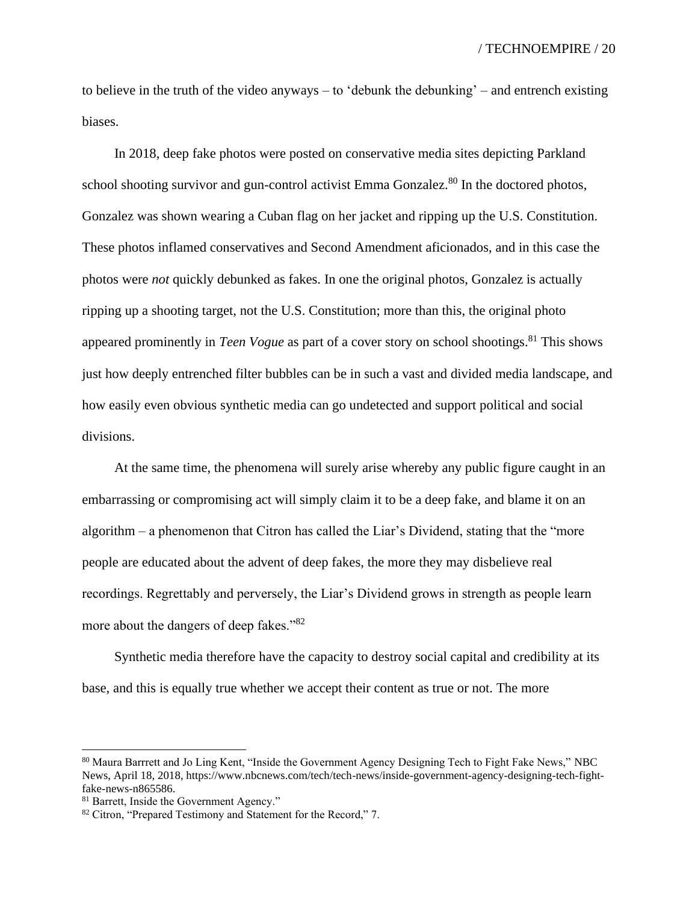to believe in the truth of the video anyways – to 'debunk the debunking' – and entrench existing biases.

In 2018, deep fake photos were posted on conservative media sites depicting Parkland school shooting survivor and gun-control activist Emma Gonzalez.<sup>80</sup> In the doctored photos, Gonzalez was shown wearing a Cuban flag on her jacket and ripping up the U.S. Constitution. These photos inflamed conservatives and Second Amendment aficionados, and in this case the photos were *not* quickly debunked as fakes. In one the original photos, Gonzalez is actually ripping up a shooting target, not the U.S. Constitution; more than this, the original photo appeared prominently in *Teen Vogue* as part of a cover story on school shootings.<sup>81</sup> This shows just how deeply entrenched filter bubbles can be in such a vast and divided media landscape, and how easily even obvious synthetic media can go undetected and support political and social divisions.

At the same time, the phenomena will surely arise whereby any public figure caught in an embarrassing or compromising act will simply claim it to be a deep fake, and blame it on an algorithm – a phenomenon that Citron has called the Liar's Dividend, stating that the "more people are educated about the advent of deep fakes, the more they may disbelieve real recordings. Regrettably and perversely, the Liar's Dividend grows in strength as people learn more about the dangers of deep fakes."<sup>82</sup>

Synthetic media therefore have the capacity to destroy social capital and credibility at its base, and this is equally true whether we accept their content as true or not. The more

<sup>80</sup> Maura Barrrett and Jo Ling Kent, "Inside the Government Agency Designing Tech to Fight Fake News," NBC News, April 18, 2018, https://www.nbcnews.com/tech/tech-news/inside-government-agency-designing-tech-fightfake-news-n865586.

<sup>81</sup> Barrett, Inside the Government Agency."

<sup>82</sup> Citron, "Prepared Testimony and Statement for the Record," 7.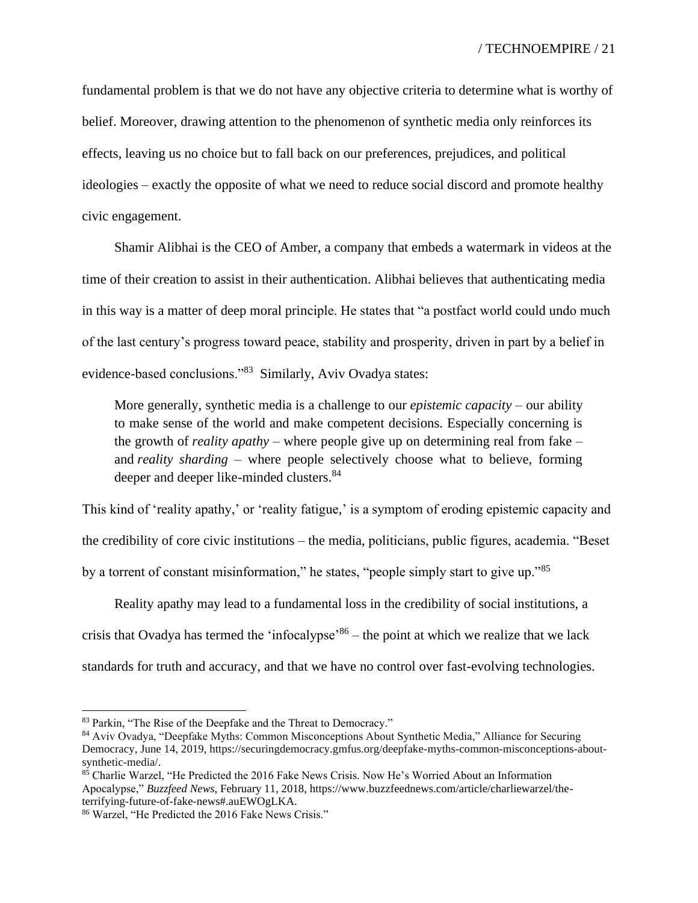fundamental problem is that we do not have any objective criteria to determine what is worthy of belief. Moreover, drawing attention to the phenomenon of synthetic media only reinforces its effects, leaving us no choice but to fall back on our preferences, prejudices, and political ideologies – exactly the opposite of what we need to reduce social discord and promote healthy civic engagement.

Shamir Alibhai is the CEO of Amber, a company that embeds a watermark in videos at the time of their creation to assist in their authentication. Alibhai believes that authenticating media in this way is a matter of deep moral principle. He states that "a postfact world could undo much of the last century's progress toward peace, stability and prosperity, driven in part by a belief in evidence-based conclusions."<sup>83</sup> Similarly, Aviv Ovadya states:

More generally, synthetic media is a challenge to our *epistemic capacity* – our ability to make sense of the world and make competent decisions. Especially concerning is the growth of *reality apathy* – where people give up on determining real from fake – and *reality sharding* – where people selectively choose what to believe, forming deeper and deeper like-minded clusters.<sup>84</sup>

This kind of 'reality apathy,' or 'reality fatigue,' is a symptom of eroding epistemic capacity and the credibility of core civic institutions – the media, politicians, public figures, academia. "Beset by a torrent of constant misinformation," he states, "people simply start to give up."<sup>85</sup>

Reality apathy may lead to a fundamental loss in the credibility of social institutions, a crisis that Ovadya has termed the 'infocalypse'<sup>86</sup> – the point at which we realize that we lack standards for truth and accuracy, and that we have no control over fast-evolving technologies.

<sup>83</sup> Parkin, "The Rise of the Deepfake and the Threat to Democracy."

<sup>84</sup> Aviv Ovadya, "Deepfake Myths: Common Misconceptions About Synthetic Media," Alliance for Securing Democracy, June 14, 2019, [https://securingdemocracy.gmfus.org/deepfake-myths-common-misconceptions-about](https://securingdemocracy.gmfus.org/deepfake-myths-common-misconceptions-about-synthetic-media/)[synthetic-media/.](https://securingdemocracy.gmfus.org/deepfake-myths-common-misconceptions-about-synthetic-media/)

<sup>85</sup> Charlie Warzel, "He Predicted the 2016 Fake News Crisis. Now He's Worried About an Information Apocalypse," *Buzzfeed News*, February 11, 2018, https://www.buzzfeednews.com/article/charliewarzel/theterrifying-future-of-fake-news#.auEWOgLKA.

<sup>86</sup> Warzel, "He Predicted the 2016 Fake News Crisis."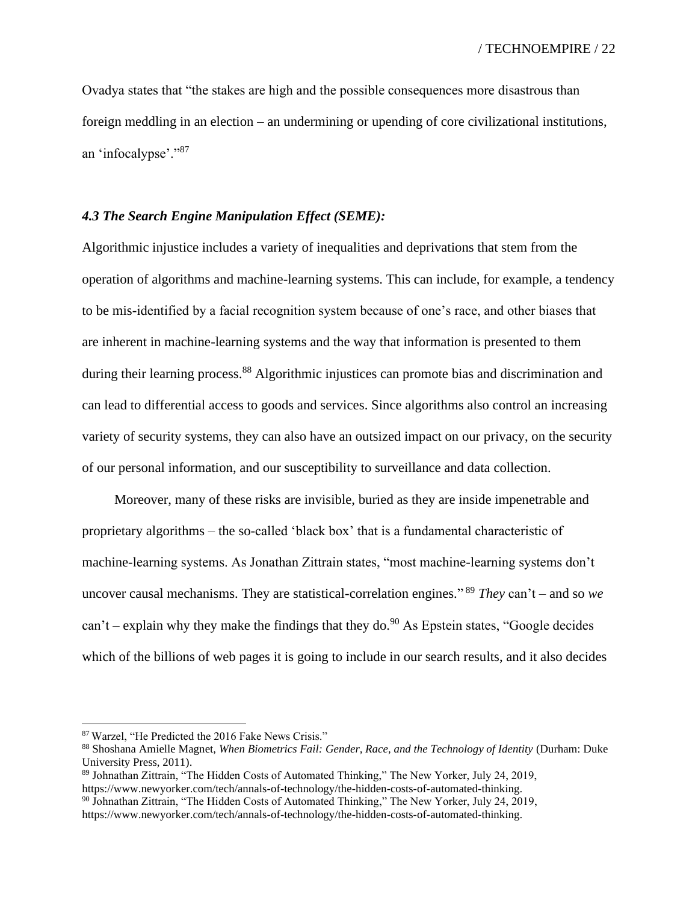Ovadya states that "the stakes are high and the possible consequences more disastrous than foreign meddling in an election – an undermining or upending of core civilizational institutions, an 'infocalypse'."<sup>87</sup>

## *4.3 The Search Engine Manipulation Effect (SEME):*

Algorithmic injustice includes a variety of inequalities and deprivations that stem from the operation of algorithms and machine-learning systems. This can include, for example, a tendency to be mis-identified by a facial recognition system because of one's race, and other biases that are inherent in machine-learning systems and the way that information is presented to them during their learning process.<sup>88</sup> Algorithmic injustices can promote bias and discrimination and can lead to differential access to goods and services. Since algorithms also control an increasing variety of security systems, they can also have an outsized impact on our privacy, on the security of our personal information, and our susceptibility to surveillance and data collection.

Moreover, many of these risks are invisible, buried as they are inside impenetrable and proprietary algorithms – the so-called 'black box' that is a fundamental characteristic of machine-learning systems. As Jonathan Zittrain states, "most machine-learning systems don't uncover causal mechanisms. They are statistical-correlation engines." <sup>89</sup> *They* can't – and so *we* can't – explain why they make the findings that they do.<sup>90</sup> As Epstein states, "Google decides which of the billions of web pages it is going to include in our search results, and it also decides

<sup>87</sup> Warzel, "He Predicted the 2016 Fake News Crisis."

<sup>88</sup> Shoshana Amielle Magnet, *When Biometrics Fail: Gender, Race, and the Technology of Identity* (Durham: Duke University Press, 2011).

<sup>89</sup> Johnathan Zittrain, "The Hidden Costs of Automated Thinking," The New Yorker, July 24, 2019, https://www.newyorker.com/tech/annals-of-technology/the-hidden-costs-of-automated-thinking.

 $90$  Johnathan Zittrain, "The Hidden Costs of Automated Thinking," The New Yorker, July 24, 2019, https://www.newyorker.com/tech/annals-of-technology/the-hidden-costs-of-automated-thinking.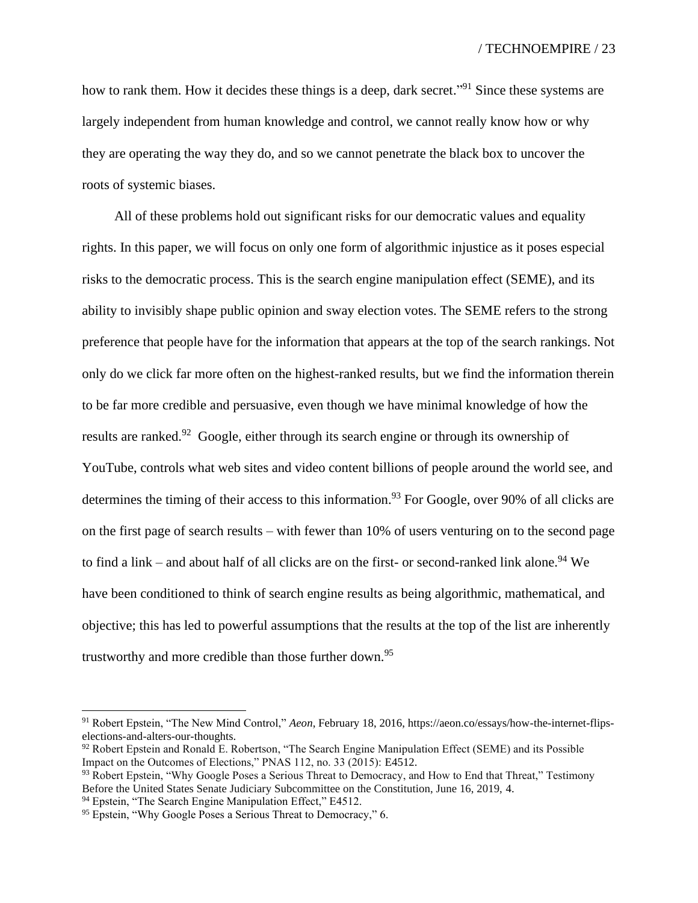how to rank them. How it decides these things is a deep, dark secret."<sup>91</sup> Since these systems are largely independent from human knowledge and control, we cannot really know how or why they are operating the way they do, and so we cannot penetrate the black box to uncover the roots of systemic biases.

All of these problems hold out significant risks for our democratic values and equality rights. In this paper, we will focus on only one form of algorithmic injustice as it poses especial risks to the democratic process. This is the search engine manipulation effect (SEME), and its ability to invisibly shape public opinion and sway election votes. The SEME refers to the strong preference that people have for the information that appears at the top of the search rankings. Not only do we click far more often on the highest-ranked results, but we find the information therein to be far more credible and persuasive, even though we have minimal knowledge of how the results are ranked.<sup>92</sup> Google, either through its search engine or through its ownership of YouTube, controls what web sites and video content billions of people around the world see, and determines the timing of their access to this information.<sup>93</sup> For Google, over 90% of all clicks are on the first page of search results – with fewer than 10% of users venturing on to the second page to find a link – and about half of all clicks are on the first- or second-ranked link alone.<sup>94</sup> We have been conditioned to think of search engine results as being algorithmic, mathematical, and objective; this has led to powerful assumptions that the results at the top of the list are inherently trustworthy and more credible than those further down.<sup>95</sup>

<sup>91</sup> Robert Epstein, "The New Mind Control," *Aeon*, February 18, 2016, https://aeon.co/essays/how-the-internet-flipselections-and-alters-our-thoughts.

 $92$  Robert Epstein and Ronald E. Robertson, "The Search Engine Manipulation Effect (SEME) and its Possible Impact on the Outcomes of Elections," PNAS 112, no. 33 (2015): E4512.

<sup>&</sup>lt;sup>93</sup> Robert Epstein, "Why Google Poses a Serious Threat to Democracy, and How to End that Threat," Testimony Before the United States Senate Judiciary Subcommittee on the Constitution, June 16, 2019, 4.

<sup>&</sup>lt;sup>94</sup> Epstein, "The Search Engine Manipulation Effect," E4512.

<sup>&</sup>lt;sup>95</sup> Epstein, "Why Google Poses a Serious Threat to Democracy," 6.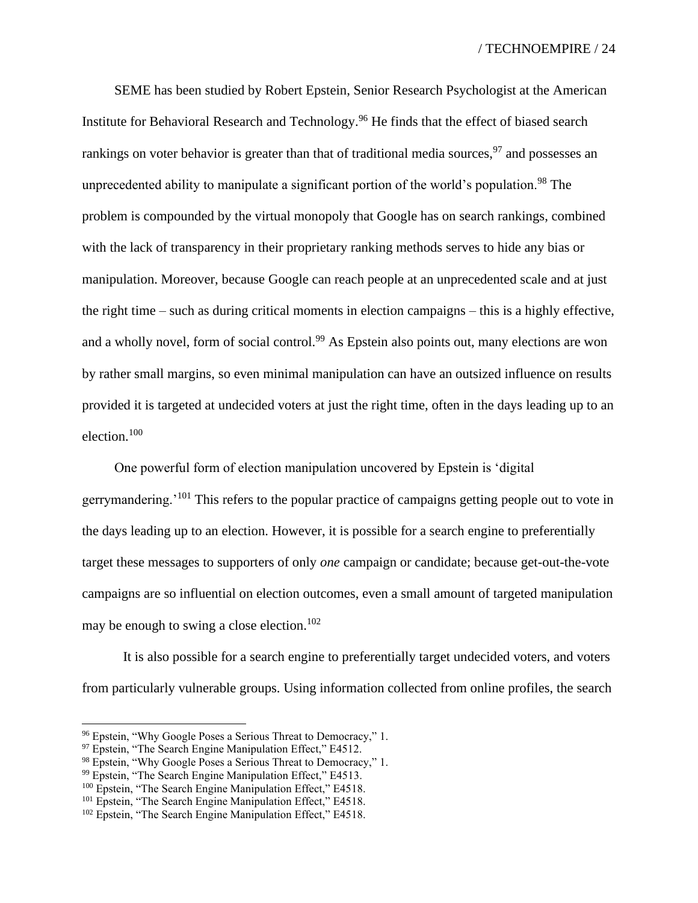SEME has been studied by Robert Epstein, Senior Research Psychologist at the American Institute for Behavioral Research and Technology.<sup>96</sup> He finds that the effect of biased search rankings on voter behavior is greater than that of traditional media sources,  $97$  and possesses an unprecedented ability to manipulate a significant portion of the world's population.<sup>98</sup> The problem is compounded by the virtual monopoly that Google has on search rankings, combined with the lack of transparency in their proprietary ranking methods serves to hide any bias or manipulation. Moreover, because Google can reach people at an unprecedented scale and at just the right time – such as during critical moments in election campaigns – this is a highly effective, and a wholly novel, form of social control.<sup>99</sup> As Epstein also points out, many elections are won by rather small margins, so even minimal manipulation can have an outsized influence on results provided it is targeted at undecided voters at just the right time, often in the days leading up to an election.<sup>100</sup>

One powerful form of election manipulation uncovered by Epstein is 'digital gerrymandering.<sup>'101</sup> This refers to the popular practice of campaigns getting people out to vote in the days leading up to an election. However, it is possible for a search engine to preferentially target these messages to supporters of only *one* campaign or candidate; because get-out-the-vote campaigns are so influential on election outcomes, even a small amount of targeted manipulation may be enough to swing a close election.<sup>102</sup>

It is also possible for a search engine to preferentially target undecided voters, and voters from particularly vulnerable groups. Using information collected from online profiles, the search

<sup>96</sup> Epstein, "Why Google Poses a Serious Threat to Democracy," 1.

<sup>&</sup>lt;sup>97</sup> Epstein, "The Search Engine Manipulation Effect," E4512.

<sup>98</sup> Epstein, "Why Google Poses a Serious Threat to Democracy," 1.

<sup>&</sup>lt;sup>99</sup> Epstein, "The Search Engine Manipulation Effect," E4513.

<sup>&</sup>lt;sup>100</sup> Epstein, "The Search Engine Manipulation Effect," E4518.

<sup>&</sup>lt;sup>101</sup> Epstein, "The Search Engine Manipulation Effect," E4518.

<sup>&</sup>lt;sup>102</sup> Epstein, "The Search Engine Manipulation Effect," E4518.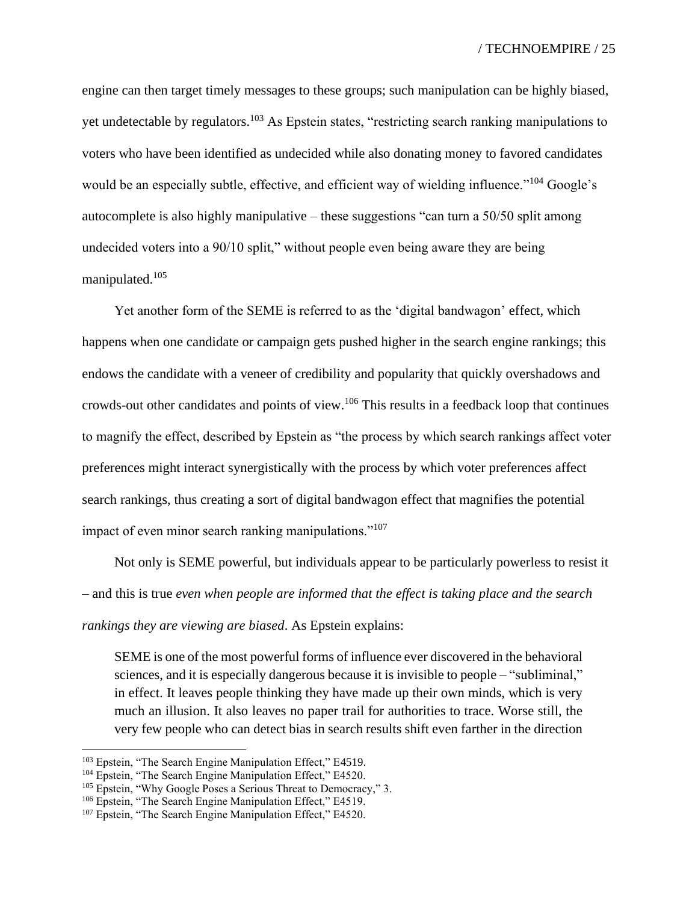engine can then target timely messages to these groups; such manipulation can be highly biased, yet undetectable by regulators.<sup>103</sup> As Epstein states, "restricting search ranking manipulations to voters who have been identified as undecided while also donating money to favored candidates would be an especially subtle, effective, and efficient way of wielding influence."<sup>104</sup> Google's autocomplete is also highly manipulative – these suggestions "can turn a 50/50 split among undecided voters into a 90/10 split," without people even being aware they are being manipulated.<sup>105</sup>

Yet another form of the SEME is referred to as the 'digital bandwagon' effect, which happens when one candidate or campaign gets pushed higher in the search engine rankings; this endows the candidate with a veneer of credibility and popularity that quickly overshadows and crowds-out other candidates and points of view.<sup>106</sup> This results in a feedback loop that continues to magnify the effect, described by Epstein as "the process by which search rankings affect voter preferences might interact synergistically with the process by which voter preferences affect search rankings, thus creating a sort of digital bandwagon effect that magnifies the potential impact of even minor search ranking manipulations."<sup>107</sup>

Not only is SEME powerful, but individuals appear to be particularly powerless to resist it – and this is true *even when people are informed that the effect is taking place and the search rankings they are viewing are biased*. As Epstein explains:

SEME is one of the most powerful forms of influence ever discovered in the behavioral sciences, and it is especially dangerous because it is invisible to people – "subliminal," in effect. It leaves people thinking they have made up their own minds, which is very much an illusion. It also leaves no paper trail for authorities to trace. Worse still, the very few people who can detect bias in search results shift even farther in the direction

<sup>103</sup> Epstein, "The Search Engine Manipulation Effect," E4519.

<sup>&</sup>lt;sup>104</sup> Epstein, "The Search Engine Manipulation Effect," E4520.

<sup>&</sup>lt;sup>105</sup> Epstein, "Why Google Poses a Serious Threat to Democracy," 3.

<sup>&</sup>lt;sup>106</sup> Epstein, "The Search Engine Manipulation Effect," E4519.

<sup>&</sup>lt;sup>107</sup> Epstein, "The Search Engine Manipulation Effect," E4520.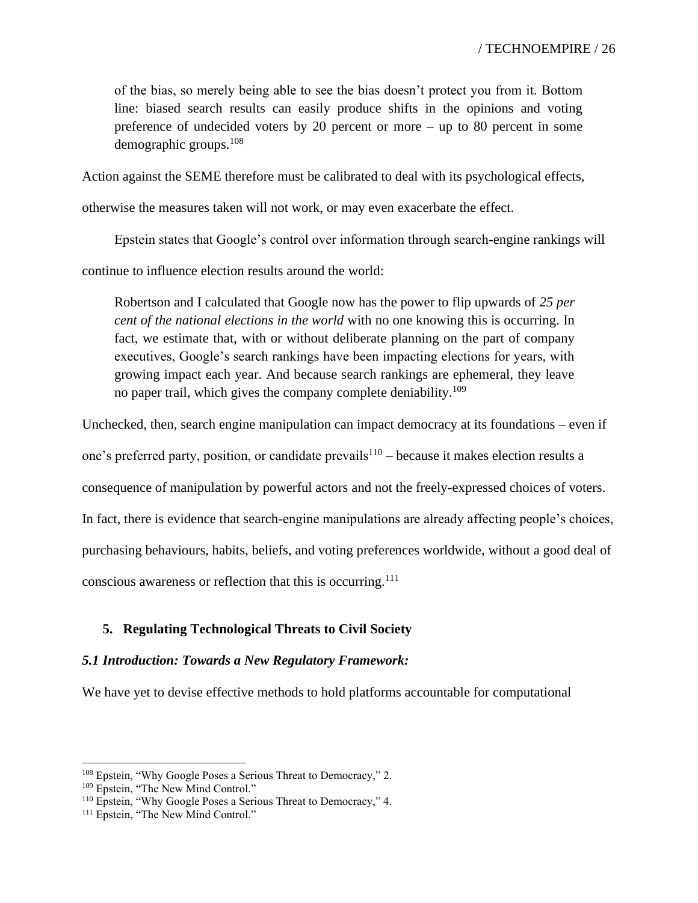of the bias, so merely being able to see the bias doesn't protect you from it. Bottom line: biased search results can easily produce shifts in the opinions and voting preference of undecided voters by 20 percent or more – up to 80 percent in some demographic groups.<sup>108</sup>

Action against the SEME therefore must be calibrated to deal with its psychological effects,

otherwise the measures taken will not work, or may even exacerbate the effect.

Epstein states that Google's control over information through search-engine rankings will

continue to influence election results around the world:

Robertson and I calculated that Google now has the power to flip upwards of *25 per cent of the national elections in the world* with no one knowing this is occurring. In fact, we estimate that, with or without deliberate planning on the part of company executives, Google's search rankings have been impacting elections for years, with growing impact each year. And because search rankings are ephemeral, they leave no paper trail, which gives the company complete deniability.<sup>109</sup>

Unchecked, then, search engine manipulation can impact democracy at its foundations – even if

one's preferred party, position, or candidate prevails<sup>110</sup>  $-$  because it makes election results a

consequence of manipulation by powerful actors and not the freely-expressed choices of voters.

In fact, there is evidence that search-engine manipulations are already affecting people's choices,

purchasing behaviours, habits, beliefs, and voting preferences worldwide, without a good deal of

conscious awareness or reflection that this is occurring.<sup>111</sup>

## **5. Regulating Technological Threats to Civil Society**

### *5.1 Introduction: Towards a New Regulatory Framework:*

We have yet to devise effective methods to hold platforms accountable for computational

<sup>&</sup>lt;sup>108</sup> Epstein, "Why Google Poses a Serious Threat to Democracy," 2.

<sup>&</sup>lt;sup>109</sup> Epstein, "The New Mind Control."

<sup>110</sup> Epstein, "Why Google Poses a Serious Threat to Democracy," 4.

<sup>&</sup>lt;sup>111</sup> Epstein, "The New Mind Control."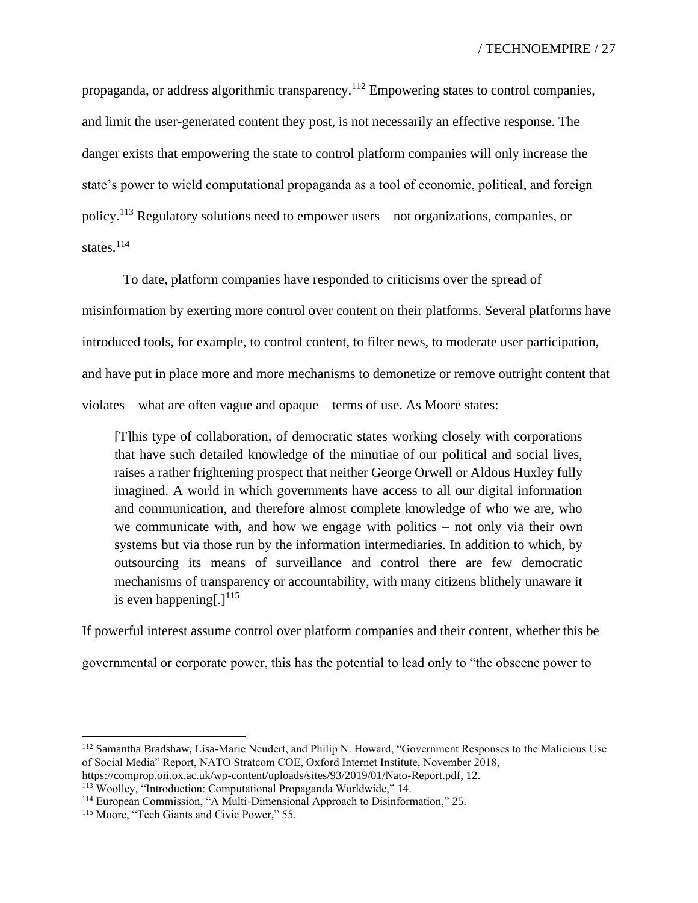propaganda, or address algorithmic transparency.<sup>112</sup> Empowering states to control companies, and limit the user-generated content they post, is not necessarily an effective response. The danger exists that empowering the state to control platform companies will only increase the state's power to wield computational propaganda as a tool of economic, political, and foreign policy.<sup>113</sup> Regulatory solutions need to empower users – not organizations, companies, or states.<sup>114</sup>

To date, platform companies have responded to criticisms over the spread of misinformation by exerting more control over content on their platforms. Several platforms have introduced tools, for example, to control content, to filter news, to moderate user participation, and have put in place more and more mechanisms to demonetize or remove outright content that violates – what are often vague and opaque – terms of use. As Moore states:

[T]his type of collaboration, of democratic states working closely with corporations that have such detailed knowledge of the minutiae of our political and social lives, raises a rather frightening prospect that neither George Orwell or Aldous Huxley fully imagined. A world in which governments have access to all our digital information and communication, and therefore almost complete knowledge of who we are, who we communicate with, and how we engage with politics – not only via their own systems but via those run by the information intermediaries. In addition to which, by outsourcing its means of surveillance and control there are few democratic mechanisms of transparency or accountability, with many citizens blithely unaware it is even happening[.] $^{115}$ 

If powerful interest assume control over platform companies and their content, whether this be governmental or corporate power, this has the potential to lead only to "the obscene power to

<sup>112</sup> Samantha Bradshaw, Lisa-Marie Neudert, and Philip N. Howard, "Government Responses to the Malicious Use of Social Media" Report, NATO Stratcom COE, Oxford Internet Institute, November 2018,

[https://comprop.oii.ox.ac.uk/wp-content/uploads/sites/93/2019/01/Nato-Report.pdf,](https://comprop.oii.ox.ac.uk/wp-content/uploads/sites/93/2019/01/Nato-Report.pdf) 12.

<sup>113</sup> Woolley, "Introduction: Computational Propaganda Worldwide," 14.

<sup>114</sup> European Commission, "A Multi-Dimensional Approach to Disinformation," 25.

<sup>&</sup>lt;sup>115</sup> Moore, "Tech Giants and Civic Power," 55.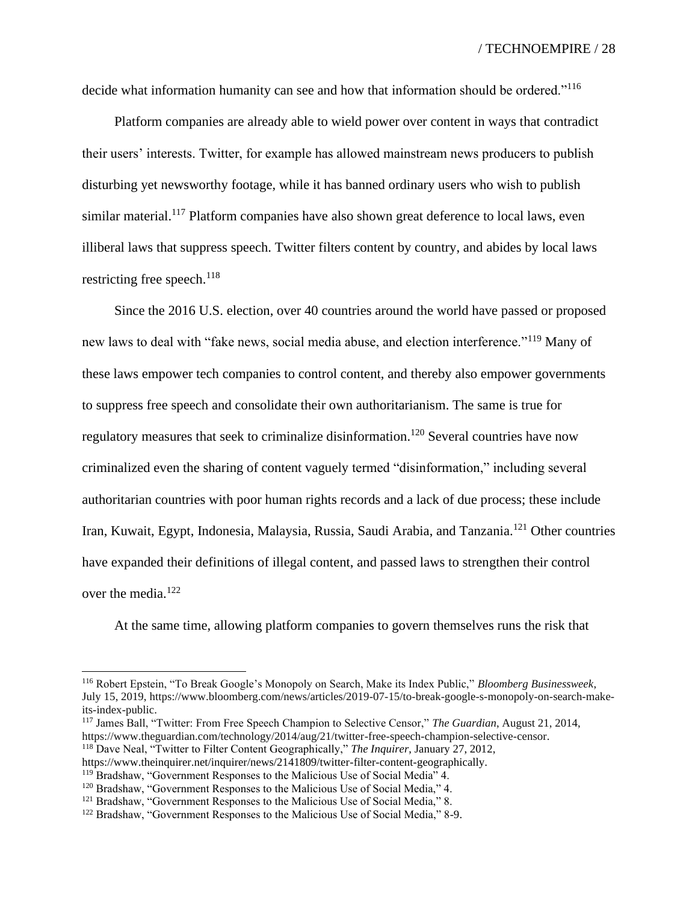decide what information humanity can see and how that information should be ordered."<sup>116</sup>

Platform companies are already able to wield power over content in ways that contradict their users' interests. Twitter, for example has allowed mainstream news producers to publish disturbing yet newsworthy footage, while it has banned ordinary users who wish to publish similar material.<sup>117</sup> Platform companies have also shown great deference to local laws, even illiberal laws that suppress speech. Twitter filters content by country, and abides by local laws restricting free speech. $^{118}$ 

Since the 2016 U.S. election, over 40 countries around the world have passed or proposed new laws to deal with "fake news, social media abuse, and election interference."<sup>119</sup> Many of these laws empower tech companies to control content, and thereby also empower governments to suppress free speech and consolidate their own authoritarianism. The same is true for regulatory measures that seek to criminalize disinformation.<sup>120</sup> Several countries have now criminalized even the sharing of content vaguely termed "disinformation," including several authoritarian countries with poor human rights records and a lack of due process; these include Iran, Kuwait, Egypt, Indonesia, Malaysia, Russia, Saudi Arabia, and Tanzania.<sup>121</sup> Other countries have expanded their definitions of illegal content, and passed laws to strengthen their control over the media.<sup>122</sup>

At the same time, allowing platform companies to govern themselves runs the risk that

<sup>116</sup> Robert Epstein, "To Break Google's Monopoly on Search, Make its Index Public," *Bloomberg Businessweek*, July 15, 2019, [https://www.bloomberg.com/news/articles/2019-07-15/to-break-google-s-monopoly-on-search-make](https://www.bloomberg.com/news/articles/2019-07-15/to-break-google-s-monopoly-on-search-make-its-index-public)[its-index-public.](https://www.bloomberg.com/news/articles/2019-07-15/to-break-google-s-monopoly-on-search-make-its-index-public)

<sup>117</sup> James Ball, "Twitter: From Free Speech Champion to Selective Censor," *The Guardian*, August 21, 2014, [https://www.theguardian.com/technology/2014/aug/21/twitter-free-speech-champion-selective-censor.](https://www.theguardian.com/technology/2014/aug/21/twitter-free-speech-champion-selective-censor)

<sup>118</sup> Dave Neal, "Twitter to Filter Content Geographically," *The Inquirer*, January 27, 2012,

https://www.theinquirer.net/inquirer/news/2141809/twitter-filter-content-geographically.

<sup>&</sup>lt;sup>119</sup> Bradshaw, "Government Responses to the Malicious Use of Social Media" 4.

<sup>&</sup>lt;sup>120</sup> Bradshaw, "Government Responses to the Malicious Use of Social Media," 4.

<sup>&</sup>lt;sup>121</sup> Bradshaw, "Government Responses to the Malicious Use of Social Media," 8.

<sup>122</sup> Bradshaw, "Government Responses to the Malicious Use of Social Media," 8-9.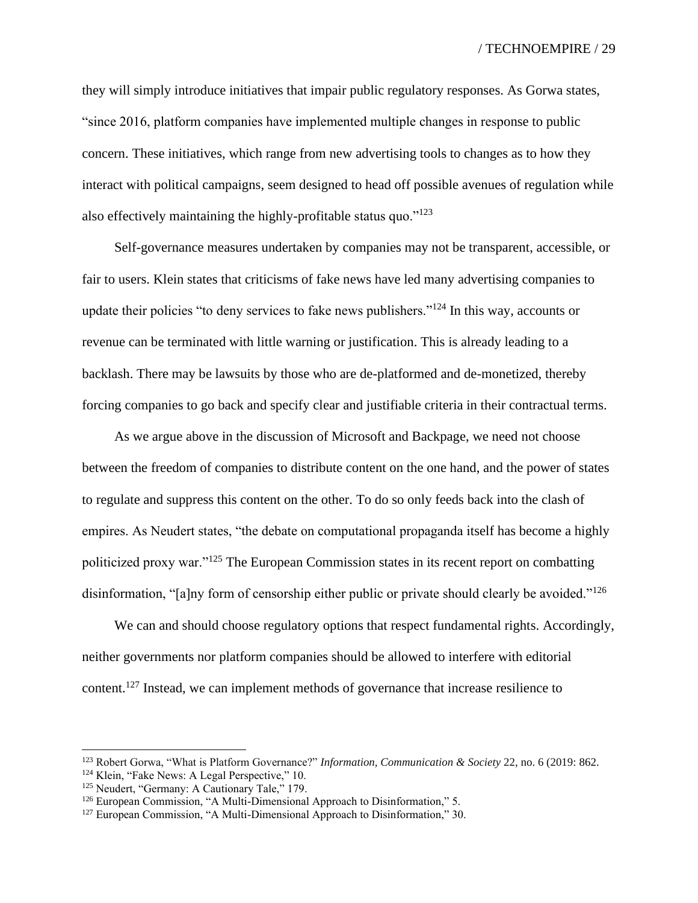they will simply introduce initiatives that impair public regulatory responses. As Gorwa states, "since 2016, platform companies have implemented multiple changes in response to public concern. These initiatives, which range from new advertising tools to changes as to how they interact with political campaigns, seem designed to head off possible avenues of regulation while also effectively maintaining the highly-profitable status quo. $"^{123}$ 

Self-governance measures undertaken by companies may not be transparent, accessible, or fair to users. Klein states that criticisms of fake news have led many advertising companies to update their policies "to deny services to fake news publishers."<sup>124</sup> In this way, accounts or revenue can be terminated with little warning or justification. This is already leading to a backlash. There may be lawsuits by those who are de-platformed and de-monetized, thereby forcing companies to go back and specify clear and justifiable criteria in their contractual terms.

As we argue above in the discussion of Microsoft and Backpage, we need not choose between the freedom of companies to distribute content on the one hand, and the power of states to regulate and suppress this content on the other. To do so only feeds back into the clash of empires. As Neudert states, "the debate on computational propaganda itself has become a highly politicized proxy war."<sup>125</sup> The European Commission states in its recent report on combatting disinformation, "[a]ny form of censorship either public or private should clearly be avoided."<sup>126</sup>

We can and should choose regulatory options that respect fundamental rights. Accordingly, neither governments nor platform companies should be allowed to interfere with editorial content.<sup>127</sup> Instead, we can implement methods of governance that increase resilience to

<sup>123</sup> Robert Gorwa, "What is Platform Governance?" *Information, Communication & Society* 22, no. 6 (2019: 862.

<sup>&</sup>lt;sup>124</sup> Klein, "Fake News: A Legal Perspective," 10.

<sup>&</sup>lt;sup>125</sup> Neudert, "Germany: A Cautionary Tale," 179.

<sup>&</sup>lt;sup>126</sup> European Commission, "A Multi-Dimensional Approach to Disinformation," 5.

<sup>&</sup>lt;sup>127</sup> European Commission, "A Multi-Dimensional Approach to Disinformation," 30.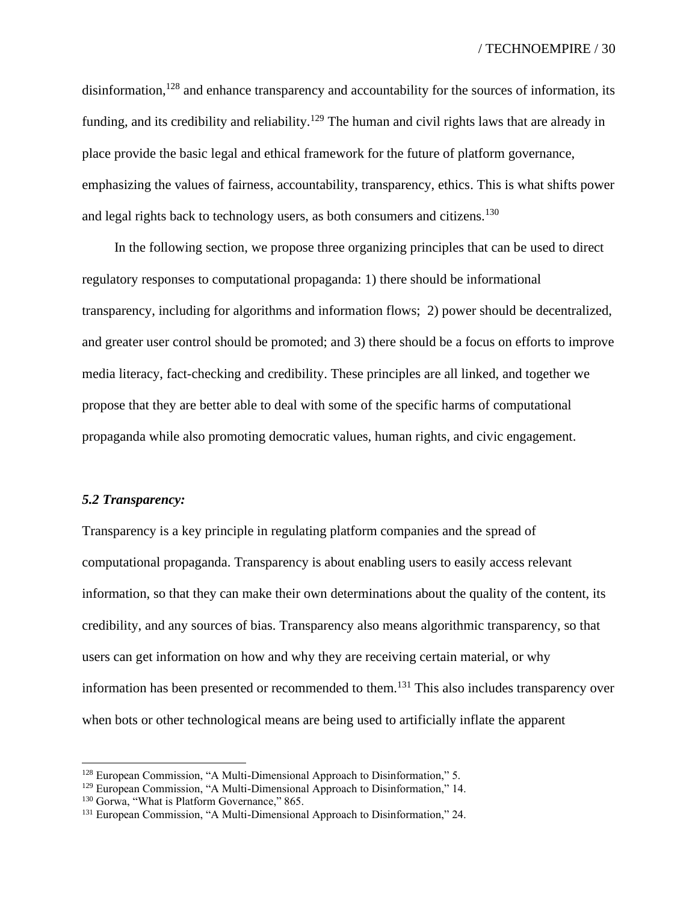disinformation,<sup>128</sup> and enhance transparency and accountability for the sources of information, its funding, and its credibility and reliability.<sup>129</sup> The human and civil rights laws that are already in place provide the basic legal and ethical framework for the future of platform governance, emphasizing the values of fairness, accountability, transparency, ethics. This is what shifts power and legal rights back to technology users, as both consumers and citizens.<sup>130</sup>

In the following section, we propose three organizing principles that can be used to direct regulatory responses to computational propaganda: 1) there should be informational transparency, including for algorithms and information flows; 2) power should be decentralized, and greater user control should be promoted; and 3) there should be a focus on efforts to improve media literacy, fact-checking and credibility. These principles are all linked, and together we propose that they are better able to deal with some of the specific harms of computational propaganda while also promoting democratic values, human rights, and civic engagement.

#### *5.2 Transparency:*

Transparency is a key principle in regulating platform companies and the spread of computational propaganda. Transparency is about enabling users to easily access relevant information, so that they can make their own determinations about the quality of the content, its credibility, and any sources of bias. Transparency also means algorithmic transparency, so that users can get information on how and why they are receiving certain material, or why information has been presented or recommended to them.<sup>131</sup> This also includes transparency over when bots or other technological means are being used to artificially inflate the apparent

<sup>&</sup>lt;sup>128</sup> European Commission, "A Multi-Dimensional Approach to Disinformation," 5.

<sup>&</sup>lt;sup>129</sup> European Commission, "A Multi-Dimensional Approach to Disinformation," 14.

<sup>&</sup>lt;sup>130</sup> Gorwa, "What is Platform Governance," 865.

<sup>131</sup> European Commission, "A Multi-Dimensional Approach to Disinformation," 24.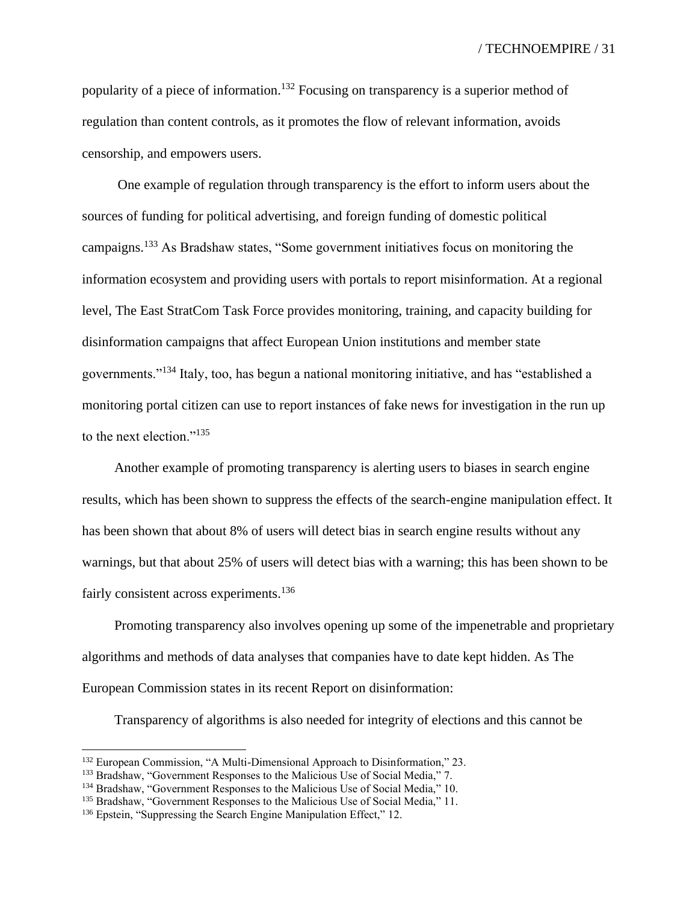popularity of a piece of information.<sup>132</sup> Focusing on transparency is a superior method of regulation than content controls, as it promotes the flow of relevant information, avoids censorship, and empowers users.

One example of regulation through transparency is the effort to inform users about the sources of funding for political advertising, and foreign funding of domestic political campaigns.<sup>133</sup> As Bradshaw states, "Some government initiatives focus on monitoring the information ecosystem and providing users with portals to report misinformation. At a regional level, The East StratCom Task Force provides monitoring, training, and capacity building for disinformation campaigns that affect European Union institutions and member state governments."<sup>134</sup> Italy, too, has begun a national monitoring initiative, and has "established a monitoring portal citizen can use to report instances of fake news for investigation in the run up to the next election."<sup>135</sup>

Another example of promoting transparency is alerting users to biases in search engine results, which has been shown to suppress the effects of the search-engine manipulation effect. It has been shown that about 8% of users will detect bias in search engine results without any warnings, but that about 25% of users will detect bias with a warning; this has been shown to be fairly consistent across experiments.<sup>136</sup>

Promoting transparency also involves opening up some of the impenetrable and proprietary algorithms and methods of data analyses that companies have to date kept hidden. As The European Commission states in its recent Report on disinformation:

Transparency of algorithms is also needed for integrity of elections and this cannot be

<sup>132</sup> European Commission, "A Multi-Dimensional Approach to Disinformation," 23.

<sup>&</sup>lt;sup>133</sup> Bradshaw, "Government Responses to the Malicious Use of Social Media," 7.

<sup>&</sup>lt;sup>134</sup> Bradshaw, "Government Responses to the Malicious Use of Social Media," 10.

<sup>&</sup>lt;sup>135</sup> Bradshaw, "Government Responses to the Malicious Use of Social Media," 11.

<sup>136</sup> Epstein, "Suppressing the Search Engine Manipulation Effect," 12.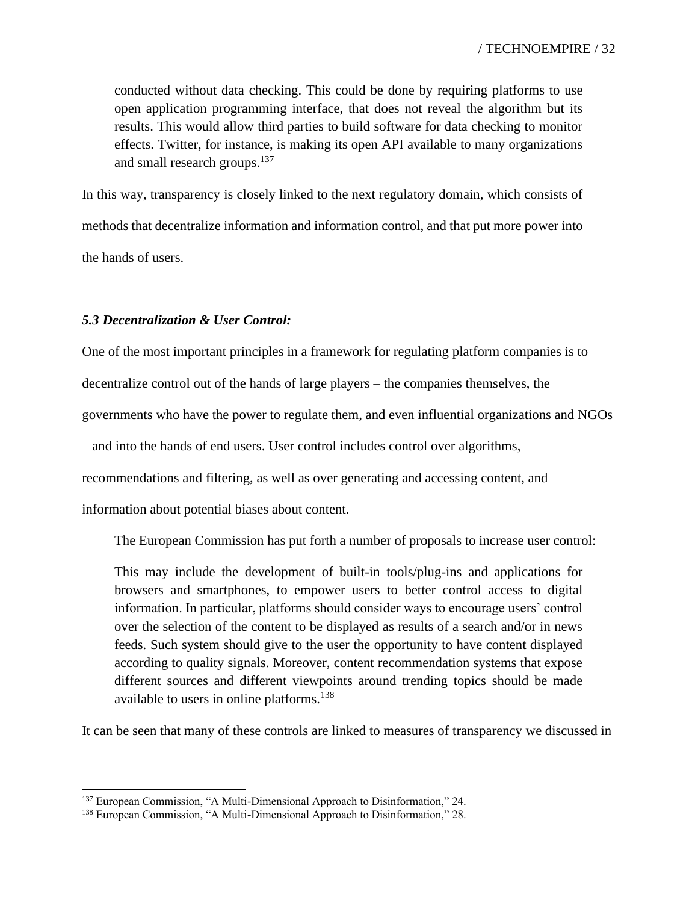conducted without data checking. This could be done by requiring platforms to use open application programming interface, that does not reveal the algorithm but its results. This would allow third parties to build software for data checking to monitor effects. Twitter, for instance, is making its open API available to many organizations and small research groups.<sup>137</sup>

In this way, transparency is closely linked to the next regulatory domain, which consists of methods that decentralize information and information control, and that put more power into the hands of users.

## *5.3 Decentralization & User Control:*

One of the most important principles in a framework for regulating platform companies is to decentralize control out of the hands of large players – the companies themselves, the governments who have the power to regulate them, and even influential organizations and NGOs – and into the hands of end users. User control includes control over algorithms, recommendations and filtering, as well as over generating and accessing content, and

information about potential biases about content.

The European Commission has put forth a number of proposals to increase user control:

This may include the development of built-in tools/plug-ins and applications for browsers and smartphones, to empower users to better control access to digital information. In particular, platforms should consider ways to encourage users' control over the selection of the content to be displayed as results of a search and/or in news feeds. Such system should give to the user the opportunity to have content displayed according to quality signals. Moreover, content recommendation systems that expose different sources and different viewpoints around trending topics should be made available to users in online platforms.<sup>138</sup>

It can be seen that many of these controls are linked to measures of transparency we discussed in

<sup>&</sup>lt;sup>137</sup> European Commission, "A Multi-Dimensional Approach to Disinformation," 24.

<sup>138</sup> European Commission, "A Multi-Dimensional Approach to Disinformation," 28.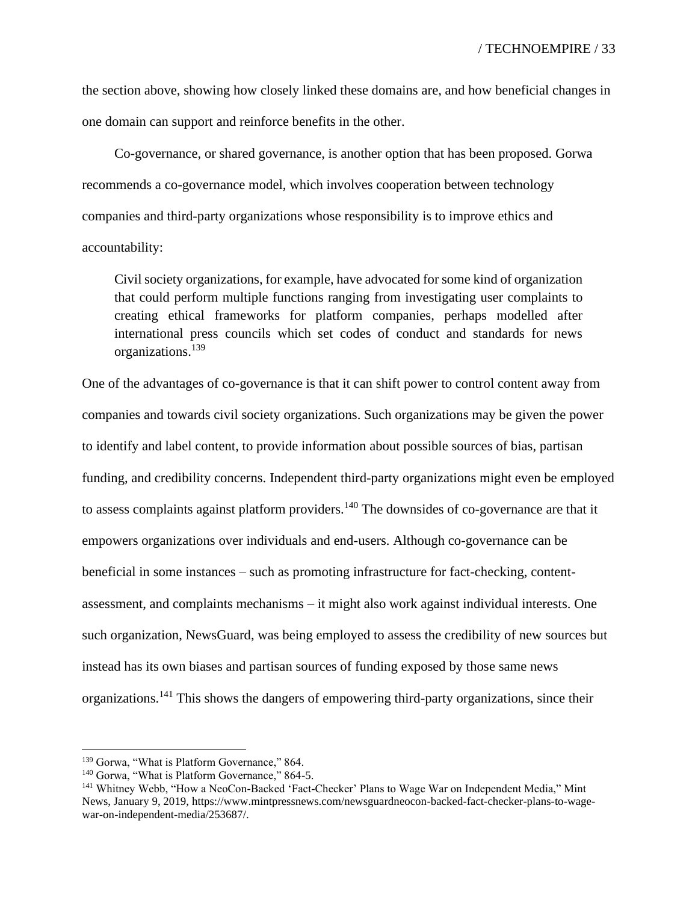the section above, showing how closely linked these domains are, and how beneficial changes in one domain can support and reinforce benefits in the other.

Co-governance, or shared governance, is another option that has been proposed. Gorwa recommends a co-governance model, which involves cooperation between technology companies and third-party organizations whose responsibility is to improve ethics and accountability:

Civil society organizations, for example, have advocated for some kind of organization that could perform multiple functions ranging from investigating user complaints to creating ethical frameworks for platform companies, perhaps modelled after international press councils which set codes of conduct and standards for news organizations.<sup>139</sup>

One of the advantages of co-governance is that it can shift power to control content away from companies and towards civil society organizations. Such organizations may be given the power to identify and label content, to provide information about possible sources of bias, partisan funding, and credibility concerns. Independent third-party organizations might even be employed to assess complaints against platform providers.<sup>140</sup> The downsides of co-governance are that it empowers organizations over individuals and end-users. Although co-governance can be beneficial in some instances – such as promoting infrastructure for fact-checking, contentassessment, and complaints mechanisms – it might also work against individual interests. One such organization, NewsGuard, was being employed to assess the credibility of new sources but instead has its own biases and partisan sources of funding exposed by those same news organizations.<sup>141</sup> This shows the dangers of empowering third-party organizations, since their

<sup>&</sup>lt;sup>139</sup> Gorwa, "What is Platform Governance," 864.

<sup>&</sup>lt;sup>140</sup> Gorwa, "What is Platform Governance," 864-5.

<sup>141</sup> Whitney Webb, "How a NeoCon-Backed 'Fact-Checker' Plans to Wage War on Independent Media," Mint News, January 9, 2019, https://www.mintpressnews.com/newsguardneocon-backed-fact-checker-plans-to-wagewar-on-independent-media/253687/.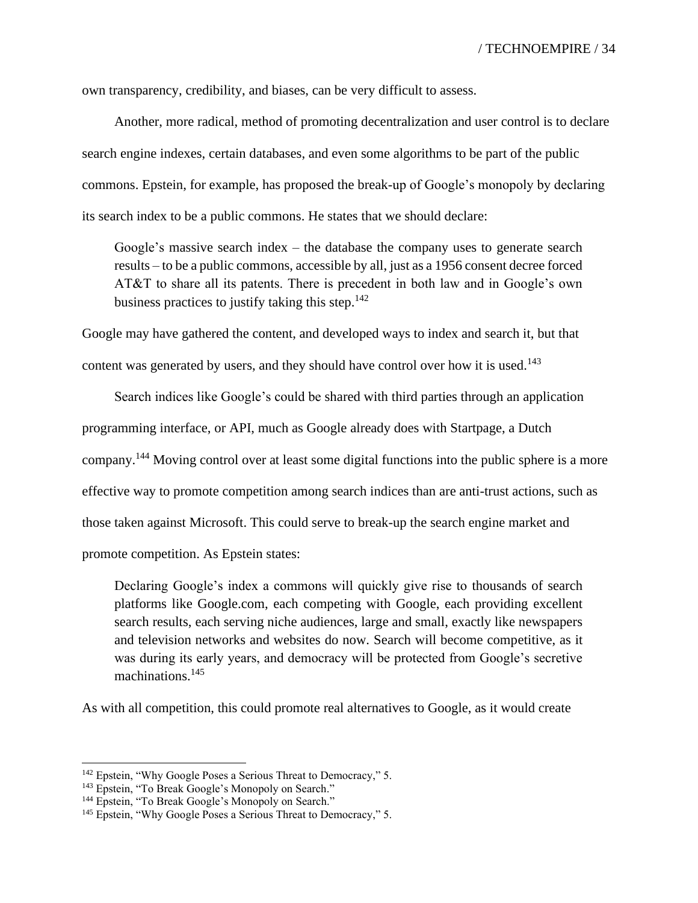own transparency, credibility, and biases, can be very difficult to assess.

Another, more radical, method of promoting decentralization and user control is to declare search engine indexes, certain databases, and even some algorithms to be part of the public commons. Epstein, for example, has proposed the break-up of Google's monopoly by declaring its search index to be a public commons. He states that we should declare:

Google's massive search index – the database the company uses to generate search results – to be a public commons, accessible by all, just as a 1956 consent decree forced AT&T to share all its patents. There is precedent in both law and in Google's own business practices to justify taking this step. $142$ 

Google may have gathered the content, and developed ways to index and search it, but that content was generated by users, and they should have control over how it is used.<sup>143</sup>

Search indices like Google's could be shared with third parties through an application programming interface, or API, much as Google already does with Startpage, a Dutch company.<sup>144</sup> Moving control over at least some digital functions into the public sphere is a more effective way to promote competition among search indices than are anti-trust actions, such as those taken against Microsoft. This could serve to break-up the search engine market and promote competition. As Epstein states:

Declaring Google's index a commons will quickly give rise to thousands of search platforms like Google.com, each competing with Google, each providing excellent search results, each serving niche audiences, large and small, exactly like newspapers and television networks and websites do now. Search will become competitive, as it was during its early years, and democracy will be protected from Google's secretive machinations.<sup>145</sup>

As with all competition, this could promote real alternatives to Google, as it would create

<sup>&</sup>lt;sup>142</sup> Epstein, "Why Google Poses a Serious Threat to Democracy," 5.

<sup>&</sup>lt;sup>143</sup> Epstein, "To Break Google's Monopoly on Search."

<sup>&</sup>lt;sup>144</sup> Epstein, "To Break Google's Monopoly on Search."

<sup>&</sup>lt;sup>145</sup> Epstein, "Why Google Poses a Serious Threat to Democracy," 5.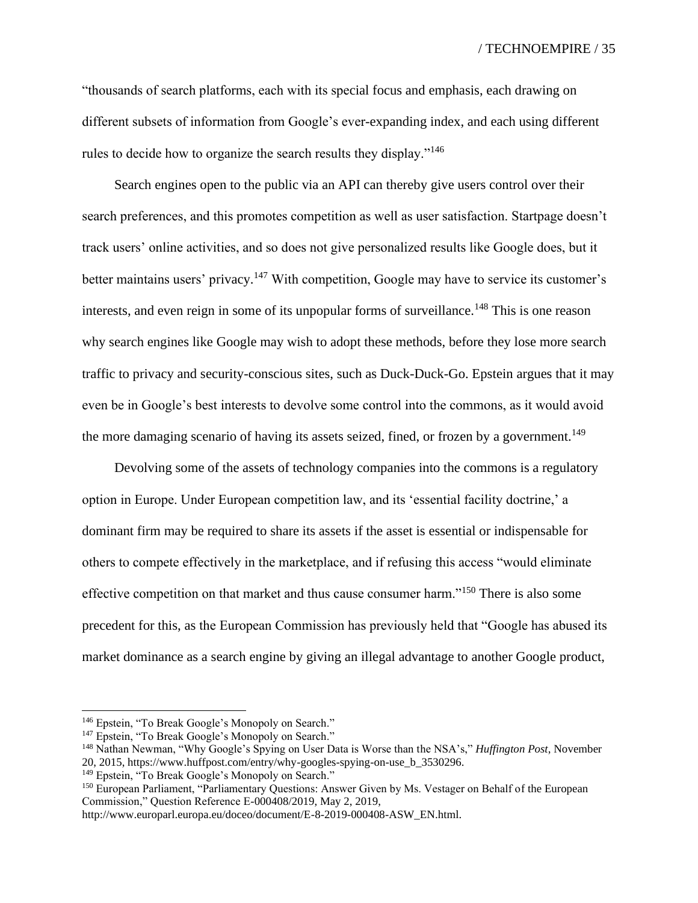/ TECHNOEMPIRE / 35

"thousands of search platforms, each with its special focus and emphasis, each drawing on different subsets of information from Google's ever-expanding index, and each using different rules to decide how to organize the search results they display."<sup>146</sup>

Search engines open to the public via an API can thereby give users control over their search preferences, and this promotes competition as well as user satisfaction. Startpage doesn't track users' online activities, and so does not give personalized results like Google does, but it better maintains users' privacy.<sup>147</sup> With competition, Google may have to service its customer's interests, and even reign in some of its unpopular forms of surveillance.<sup>148</sup> This is one reason why search engines like Google may wish to adopt these methods, before they lose more search traffic to privacy and security-conscious sites, such as Duck-Duck-Go. Epstein argues that it may even be in Google's best interests to devolve some control into the commons, as it would avoid the more damaging scenario of having its assets seized, fined, or frozen by a government.<sup>149</sup>

Devolving some of the assets of technology companies into the commons is a regulatory option in Europe. Under European competition law, and its 'essential facility doctrine,' a dominant firm may be required to share its assets if the asset is essential or indispensable for others to compete effectively in the marketplace, and if refusing this access "would eliminate effective competition on that market and thus cause consumer harm."<sup>150</sup> There is also some precedent for this, as the European Commission has previously held that "Google has abused its market dominance as a search engine by giving an illegal advantage to another Google product,

<sup>150</sup> European Parliament, "Parliamentary Questions: Answer Given by Ms. Vestager on Behalf of the European Commission," Question Reference E-000408/2019, May 2, 2019,

http://www.europarl.europa.eu/doceo/document/E-8-2019-000408-ASW\_EN.html.

<sup>&</sup>lt;sup>146</sup> Epstein, "To Break Google's Monopoly on Search."

<sup>&</sup>lt;sup>147</sup> Epstein, "To Break Google's Monopoly on Search."

<sup>148</sup> Nathan Newman, "Why Google's Spying on User Data is Worse than the NSA's," *Huffington Post*, November 20, 2015, https://www.huffpost.com/entry/why-googles-spying-on-use\_b\_3530296.

<sup>&</sup>lt;sup>149</sup> Epstein, "To Break Google's Monopoly on Search."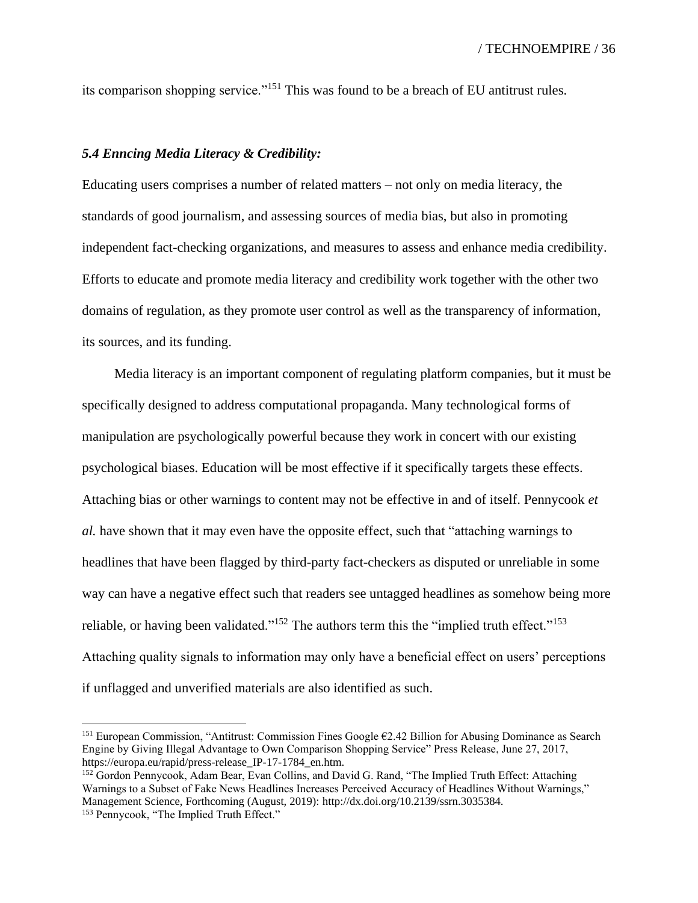its comparison shopping service."<sup>151</sup> This was found to be a breach of EU antitrust rules.

#### *5.4 Enncing Media Literacy & Credibility:*

Educating users comprises a number of related matters – not only on media literacy, the standards of good journalism, and assessing sources of media bias, but also in promoting independent fact-checking organizations, and measures to assess and enhance media credibility. Efforts to educate and promote media literacy and credibility work together with the other two domains of regulation, as they promote user control as well as the transparency of information, its sources, and its funding.

Media literacy is an important component of regulating platform companies, but it must be specifically designed to address computational propaganda. Many technological forms of manipulation are psychologically powerful because they work in concert with our existing psychological biases. Education will be most effective if it specifically targets these effects. Attaching bias or other warnings to content may not be effective in and of itself. Pennycook *et al.* have shown that it may even have the opposite effect, such that "attaching warnings to headlines that have been flagged by third-party fact-checkers as disputed or unreliable in some way can have a negative effect such that readers see untagged headlines as somehow being more reliable, or having been validated."<sup>152</sup> The authors term this the "implied truth effect."<sup>153</sup> Attaching quality signals to information may only have a beneficial effect on users' perceptions if unflagged and unverified materials are also identified as such.

<sup>&</sup>lt;sup>151</sup> European Commission, "Antitrust: Commission Fines Google  $62.42$  Billion for Abusing Dominance as Search Engine by Giving Illegal Advantage to Own Comparison Shopping Service" Press Release, June 27, 2017, https://europa.eu/rapid/press-release\_IP-17-1784\_en.htm.

<sup>&</sup>lt;sup>152</sup> Gordon Pennycook, Adam Bear, Evan Collins, and David G. Rand, "The Implied Truth Effect: Attaching Warnings to a Subset of Fake News Headlines Increases Perceived Accuracy of Headlines Without Warnings," Management Science, Forthcoming (August, 2019): http://dx.doi.org/10.2139/ssrn.3035384.

<sup>153</sup> Pennycook, "The Implied Truth Effect."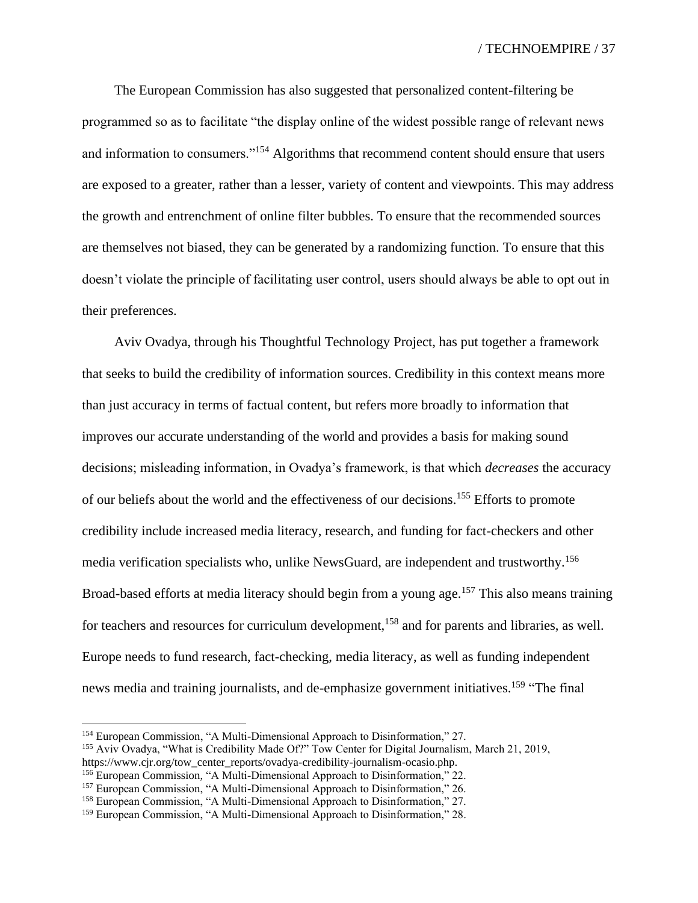The European Commission has also suggested that personalized content-filtering be programmed so as to facilitate "the display online of the widest possible range of relevant news and information to consumers."<sup>154</sup> Algorithms that recommend content should ensure that users are exposed to a greater, rather than a lesser, variety of content and viewpoints. This may address the growth and entrenchment of online filter bubbles. To ensure that the recommended sources are themselves not biased, they can be generated by a randomizing function. To ensure that this doesn't violate the principle of facilitating user control, users should always be able to opt out in their preferences.

Aviv Ovadya, through his Thoughtful Technology Project, has put together a framework that seeks to build the credibility of information sources. Credibility in this context means more than just accuracy in terms of factual content, but refers more broadly to information that improves our accurate understanding of the world and provides a basis for making sound decisions; misleading information, in Ovadya's framework, is that which *decreases* the accuracy of our beliefs about the world and the effectiveness of our decisions.<sup>155</sup> Efforts to promote credibility include increased media literacy, research, and funding for fact-checkers and other media verification specialists who, unlike NewsGuard, are independent and trustworthy.<sup>156</sup> Broad-based efforts at media literacy should begin from a young age.<sup>157</sup> This also means training for teachers and resources for curriculum development,<sup>158</sup> and for parents and libraries, as well. Europe needs to fund research, fact-checking, media literacy, as well as funding independent news media and training journalists, and de-emphasize government initiatives.<sup>159</sup> "The final"

<sup>154</sup> European Commission, "A Multi-Dimensional Approach to Disinformation," 27.

<sup>155</sup> Aviv Ovadya, "What is Credibility Made Of?" Tow Center for Digital Journalism, March 21, 2019,

https://www.cjr.org/tow\_center\_reports/ovadya-credibility-journalism-ocasio.php.

<sup>&</sup>lt;sup>156</sup> European Commission, "A Multi-Dimensional Approach to Disinformation," 22.

<sup>&</sup>lt;sup>157</sup> European Commission, "A Multi-Dimensional Approach to Disinformation," 26.

<sup>158</sup> European Commission, "A Multi-Dimensional Approach to Disinformation," 27.

<sup>&</sup>lt;sup>159</sup> European Commission, "A Multi-Dimensional Approach to Disinformation," 28.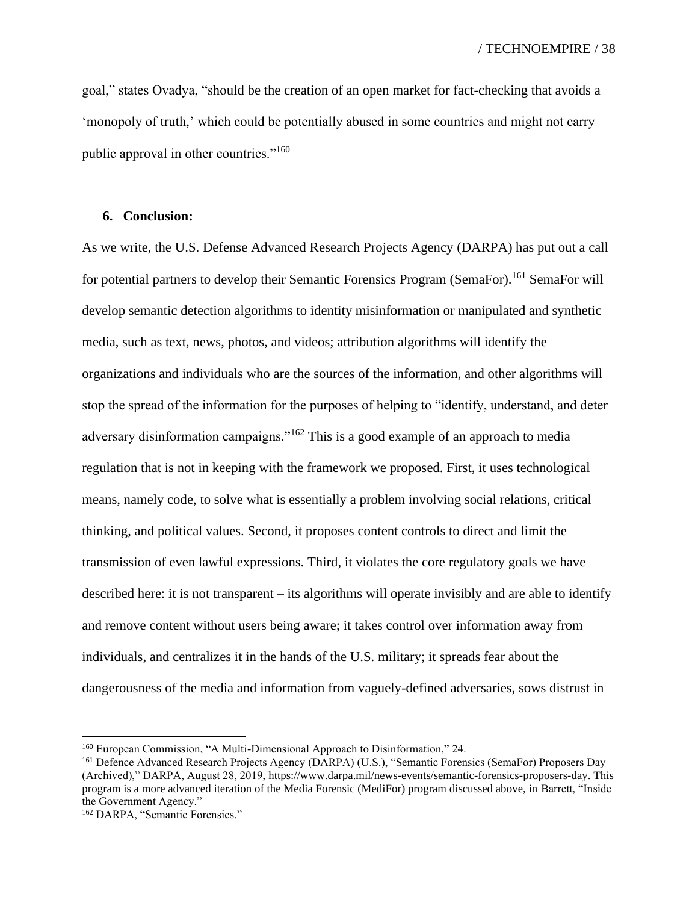goal," states Ovadya, "should be the creation of an open market for fact-checking that avoids a 'monopoly of truth,' which could be potentially abused in some countries and might not carry public approval in other countries."<sup>160</sup>

### **6. Conclusion:**

As we write, the U.S. Defense Advanced Research Projects Agency (DARPA) has put out a call for potential partners to develop their Semantic Forensics Program (SemaFor).<sup>161</sup> SemaFor will develop semantic detection algorithms to identity misinformation or manipulated and synthetic media, such as text, news, photos, and videos; attribution algorithms will identify the organizations and individuals who are the sources of the information, and other algorithms will stop the spread of the information for the purposes of helping to "identify, understand, and deter adversary disinformation campaigns."<sup>162</sup> This is a good example of an approach to media regulation that is not in keeping with the framework we proposed. First, it uses technological means, namely code, to solve what is essentially a problem involving social relations, critical thinking, and political values. Second, it proposes content controls to direct and limit the transmission of even lawful expressions. Third, it violates the core regulatory goals we have described here: it is not transparent – its algorithms will operate invisibly and are able to identify and remove content without users being aware; it takes control over information away from individuals, and centralizes it in the hands of the U.S. military; it spreads fear about the dangerousness of the media and information from vaguely-defined adversaries, sows distrust in

<sup>160</sup> European Commission, "A Multi-Dimensional Approach to Disinformation," 24.

<sup>161</sup> Defence Advanced Research Projects Agency (DARPA) (U.S.), "Semantic Forensics (SemaFor) Proposers Day (Archived)," DARPA, August 28, 2019, [https://www.darpa.mil/news-events/semantic-forensics-proposers-day.](https://www.darpa.mil/news-events/semantic-forensics-proposers-day) This program is a more advanced iteration of the Media Forensic (MediFor) program discussed above, in Barrett, "Inside the Government Agency."

<sup>&</sup>lt;sup>162</sup> DARPA, "Semantic Forensics."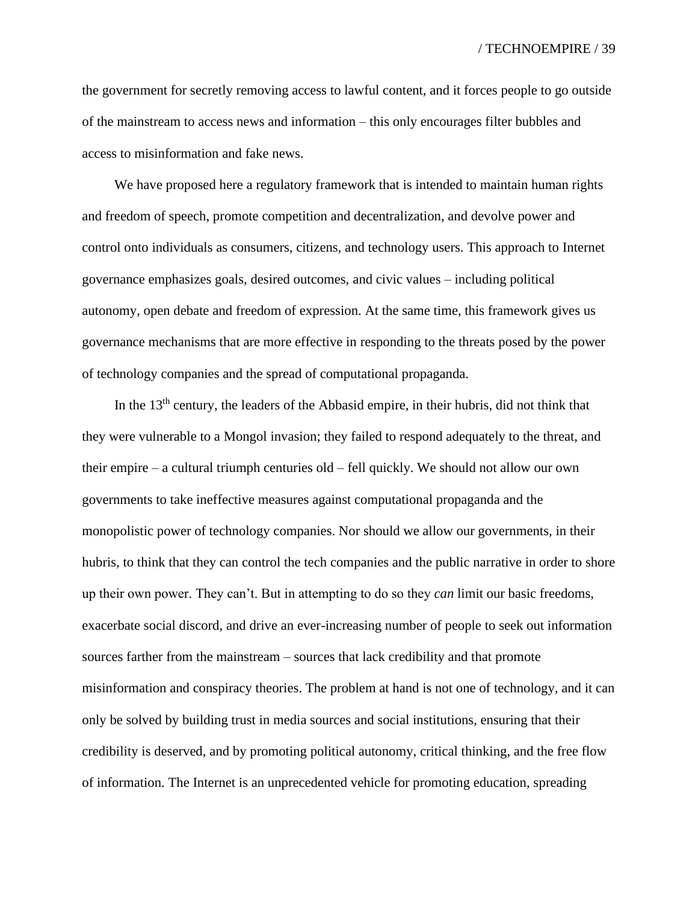the government for secretly removing access to lawful content, and it forces people to go outside of the mainstream to access news and information – this only encourages filter bubbles and access to misinformation and fake news.

We have proposed here a regulatory framework that is intended to maintain human rights and freedom of speech, promote competition and decentralization, and devolve power and control onto individuals as consumers, citizens, and technology users. This approach to Internet governance emphasizes goals, desired outcomes, and civic values – including political autonomy, open debate and freedom of expression. At the same time, this framework gives us governance mechanisms that are more effective in responding to the threats posed by the power of technology companies and the spread of computational propaganda.

In the  $13<sup>th</sup>$  century, the leaders of the Abbasid empire, in their hubris, did not think that they were vulnerable to a Mongol invasion; they failed to respond adequately to the threat, and their empire – a cultural triumph centuries old – fell quickly. We should not allow our own governments to take ineffective measures against computational propaganda and the monopolistic power of technology companies. Nor should we allow our governments, in their hubris, to think that they can control the tech companies and the public narrative in order to shore up their own power. They can't. But in attempting to do so they *can* limit our basic freedoms, exacerbate social discord, and drive an ever-increasing number of people to seek out information sources farther from the mainstream – sources that lack credibility and that promote misinformation and conspiracy theories. The problem at hand is not one of technology, and it can only be solved by building trust in media sources and social institutions, ensuring that their credibility is deserved, and by promoting political autonomy, critical thinking, and the free flow of information. The Internet is an unprecedented vehicle for promoting education, spreading